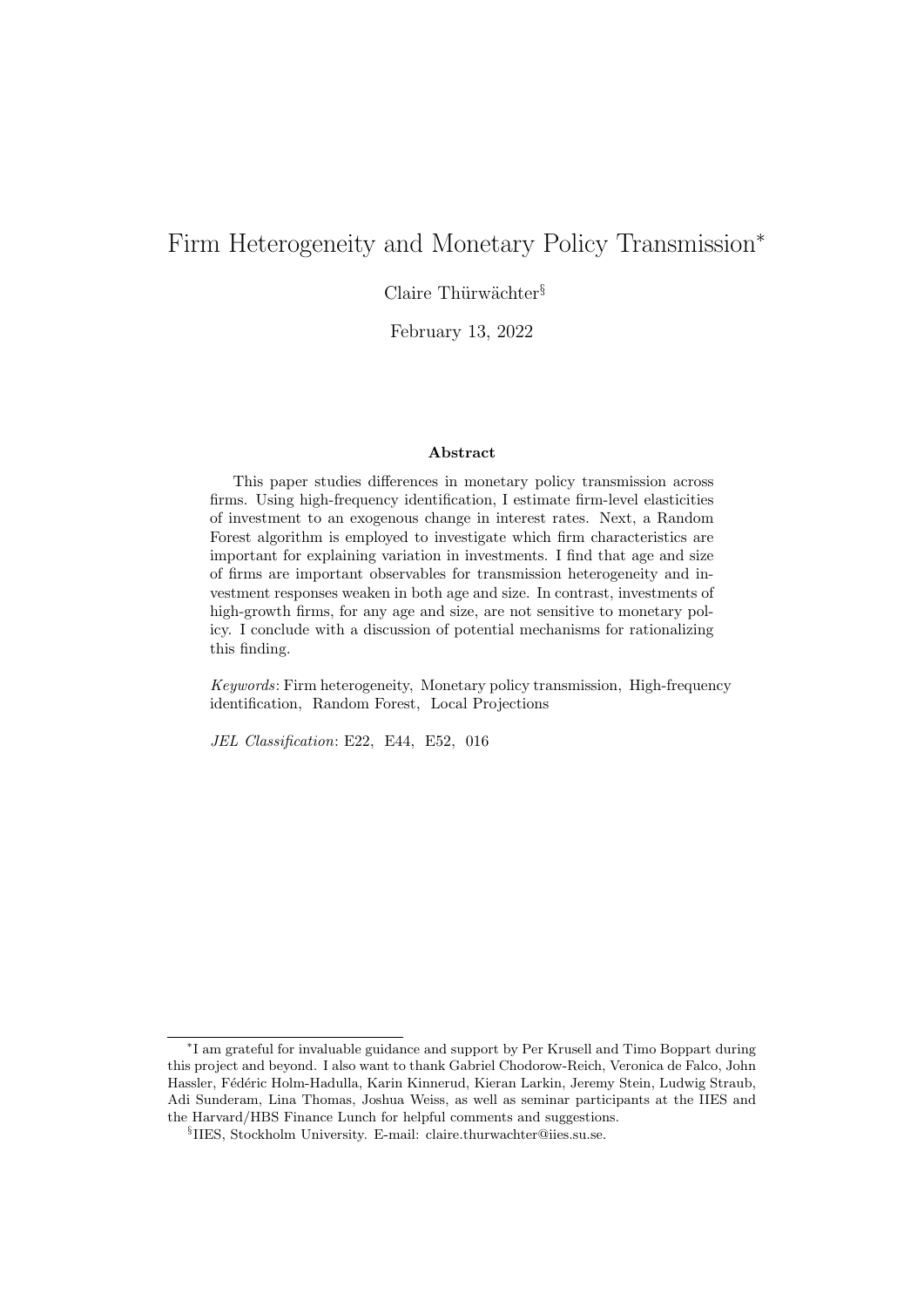# <span id="page-0-0"></span>Firm Heterogeneity and Monetary Policy Transmission<sup>∗</sup>

Claire Thürwächter<sup>§</sup>

February 13, 2022

#### Abstract

This paper studies differences in monetary policy transmission across firms. Using high-frequency identification, I estimate firm-level elasticities of investment to an exogenous change in interest rates. Next, a Random Forest algorithm is employed to investigate which firm characteristics are important for explaining variation in investments. I find that age and size of firms are important observables for transmission heterogeneity and investment responses weaken in both age and size. In contrast, investments of high-growth firms, for any age and size, are not sensitive to monetary policy. I conclude with a discussion of potential mechanisms for rationalizing this finding.

Keywords: Firm heterogeneity, Monetary policy transmission, High-frequency identification, Random Forest, Local Projections

JEL Classification: E22, E44, E52, 016

<sup>∗</sup> I am grateful for invaluable guidance and support by Per Krusell and Timo Boppart during this project and beyond. I also want to thank Gabriel Chodorow-Reich, Veronica de Falco, John Hassler, Fédéric Holm-Hadulla, Karin Kinnerud, Kieran Larkin, Jeremy Stein, Ludwig Straub, Adi Sunderam, Lina Thomas, Joshua Weiss, as well as seminar participants at the IIES and the Harvard/HBS Finance Lunch for helpful comments and suggestions.

<sup>§</sup> IIES, Stockholm University. E-mail: claire.thurwachter@iies.su.se.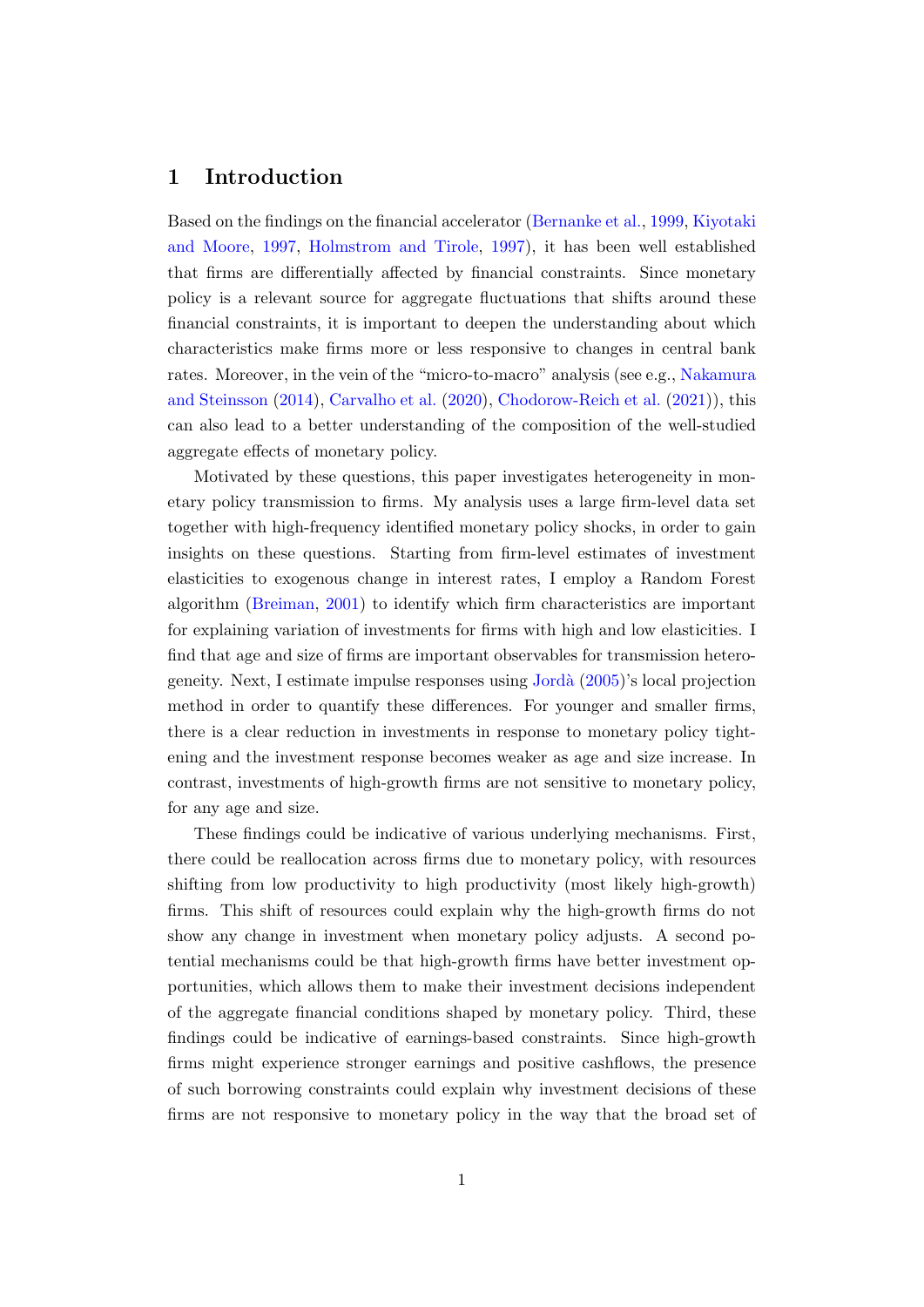## 1 Introduction

Based on the findings on the financial accelerator [\(Bernanke et al.,](#page-18-0) [1999,](#page-18-0) [Kiyotaki](#page-20-0) [and Moore,](#page-20-0) [1997,](#page-20-0) [Holmstrom and Tirole,](#page-19-0) [1997\)](#page-19-0), it has been well established that firms are differentially affected by financial constraints. Since monetary policy is a relevant source for aggregate fluctuations that shifts around these financial constraints, it is important to deepen the understanding about which characteristics make firms more or less responsive to changes in central bank rates. Moreover, in the vein of the "micro-to-macro" analysis (see e.g., [Nakamura](#page-20-1) [and Steinsson](#page-20-1) [\(2014\)](#page-20-1), [Carvalho et al.](#page-18-1) [\(2020\)](#page-18-1), [Chodorow-Reich et al.](#page-18-2) [\(2021\)](#page-18-2)), this can also lead to a better understanding of the composition of the well-studied aggregate effects of monetary policy.

Motivated by these questions, this paper investigates heterogeneity in monetary policy transmission to firms. My analysis uses a large firm-level data set together with high-frequency identified monetary policy shocks, in order to gain insights on these questions. Starting from firm-level estimates of investment elasticities to exogenous change in interest rates, I employ a Random Forest algorithm [\(Breiman,](#page-18-3) [2001\)](#page-18-3) to identify which firm characteristics are important for explaining variation of investments for firms with high and low elasticities. I find that age and size of firms are important observables for transmission heterogeneity. Next, I estimate impulse responses using [Jord`a](#page-20-2) [\(2005\)](#page-20-2)'s local projection method in order to quantify these differences. For younger and smaller firms, there is a clear reduction in investments in response to monetary policy tightening and the investment response becomes weaker as age and size increase. In contrast, investments of high-growth firms are not sensitive to monetary policy, for any age and size.

These findings could be indicative of various underlying mechanisms. First, there could be reallocation across firms due to monetary policy, with resources shifting from low productivity to high productivity (most likely high-growth) firms. This shift of resources could explain why the high-growth firms do not show any change in investment when monetary policy adjusts. A second potential mechanisms could be that high-growth firms have better investment opportunities, which allows them to make their investment decisions independent of the aggregate financial conditions shaped by monetary policy. Third, these findings could be indicative of earnings-based constraints. Since high-growth firms might experience stronger earnings and positive cashflows, the presence of such borrowing constraints could explain why investment decisions of these firms are not responsive to monetary policy in the way that the broad set of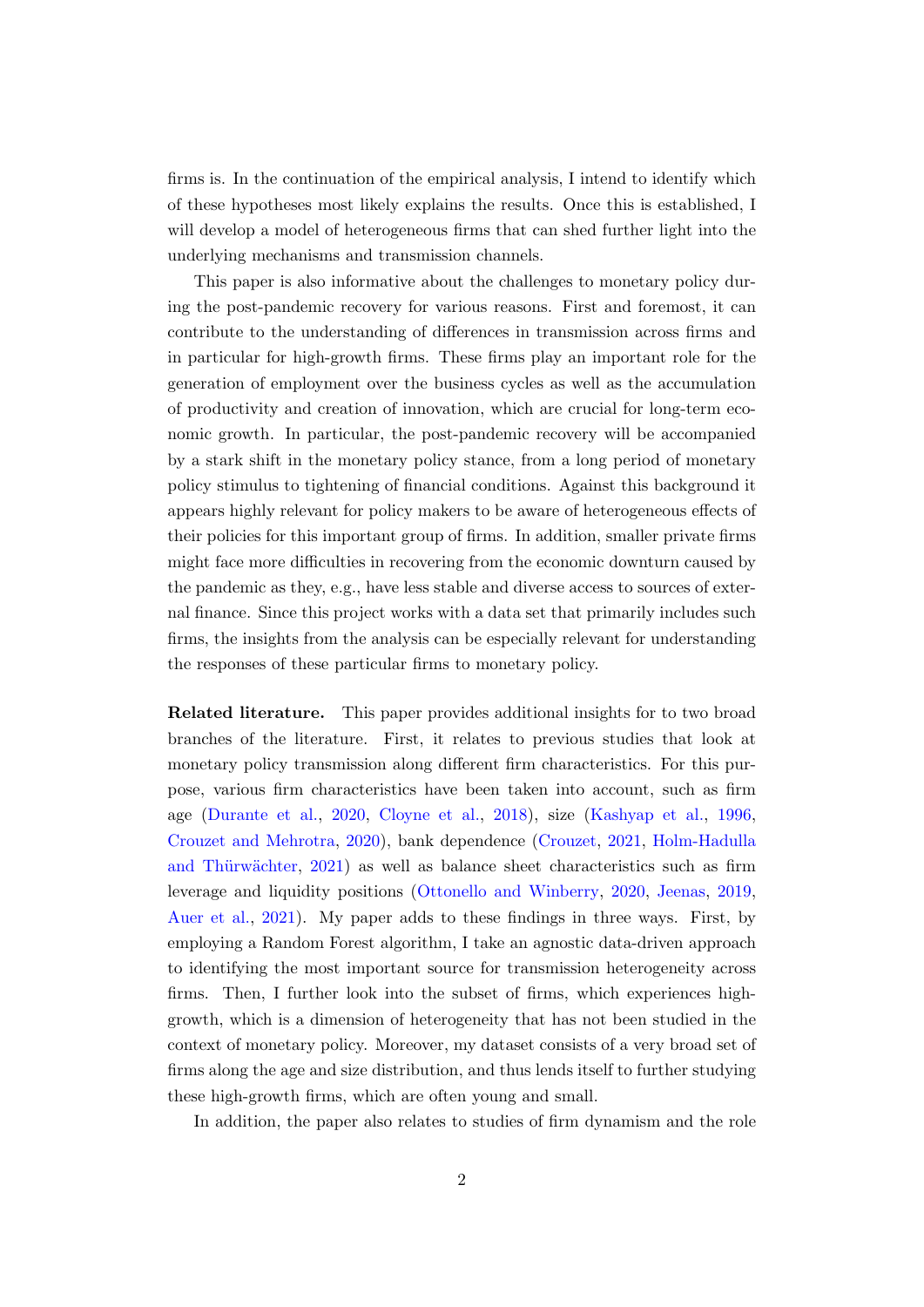firms is. In the continuation of the empirical analysis, I intend to identify which of these hypotheses most likely explains the results. Once this is established, I will develop a model of heterogeneous firms that can shed further light into the underlying mechanisms and transmission channels.

This paper is also informative about the challenges to monetary policy during the post-pandemic recovery for various reasons. First and foremost, it can contribute to the understanding of differences in transmission across firms and in particular for high-growth firms. These firms play an important role for the generation of employment over the business cycles as well as the accumulation of productivity and creation of innovation, which are crucial for long-term economic growth. In particular, the post-pandemic recovery will be accompanied by a stark shift in the monetary policy stance, from a long period of monetary policy stimulus to tightening of financial conditions. Against this background it appears highly relevant for policy makers to be aware of heterogeneous effects of their policies for this important group of firms. In addition, smaller private firms might face more difficulties in recovering from the economic downturn caused by the pandemic as they, e.g., have less stable and diverse access to sources of external finance. Since this project works with a data set that primarily includes such firms, the insights from the analysis can be especially relevant for understanding the responses of these particular firms to monetary policy.

Related literature. This paper provides additional insights for to two broad branches of the literature. First, it relates to previous studies that look at monetary policy transmission along different firm characteristics. For this purpose, various firm characteristics have been taken into account, such as firm age [\(Durante et al.,](#page-19-1) [2020,](#page-19-1) [Cloyne et al.,](#page-18-4) [2018\)](#page-18-4), size [\(Kashyap et al.,](#page-20-3) [1996,](#page-20-3) [Crouzet and Mehrotra,](#page-18-5) [2020\)](#page-18-5), bank dependence [\(Crouzet,](#page-18-6) [2021,](#page-18-6) [Holm-Hadulla](#page-19-2) and Thürwächter, [2021\)](#page-19-2) as well as balance sheet characteristics such as firm leverage and liquidity positions [\(Ottonello and Winberry,](#page-20-4) [2020,](#page-20-4) [Jeenas,](#page-20-5) [2019,](#page-20-5) [Auer et al.,](#page-18-7) [2021\)](#page-18-7). My paper adds to these findings in three ways. First, by employing a Random Forest algorithm, I take an agnostic data-driven approach to identifying the most important source for transmission heterogeneity across firms. Then, I further look into the subset of firms, which experiences highgrowth, which is a dimension of heterogeneity that has not been studied in the context of monetary policy. Moreover, my dataset consists of a very broad set of firms along the age and size distribution, and thus lends itself to further studying these high-growth firms, which are often young and small.

In addition, the paper also relates to studies of firm dynamism and the role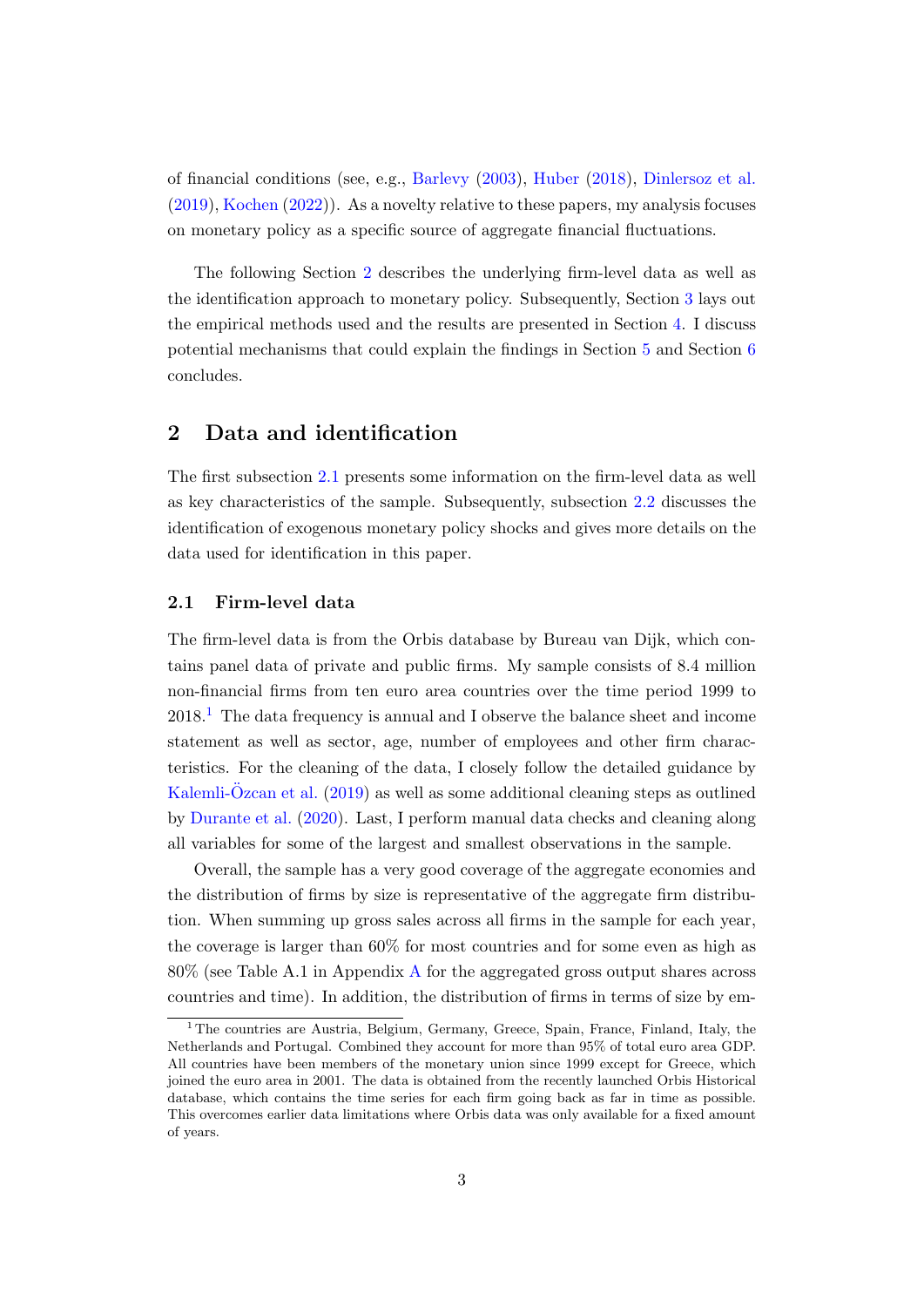of financial conditions (see, e.g., [Barlevy](#page-18-8) [\(2003\)](#page-18-8), [Huber](#page-19-3) [\(2018\)](#page-19-3), [Dinlersoz et al.](#page-19-4) [\(2019\)](#page-19-4), [Kochen](#page-20-6) [\(2022\)](#page-20-6)). As a novelty relative to these papers, my analysis focuses on monetary policy as a specific source of aggregate financial fluctuations.

The following Section [2](#page-3-0) describes the underlying firm-level data as well as the identification approach to monetary policy. Subsequently, Section [3](#page-6-0) lays out the empirical methods used and the results are presented in Section [4.](#page-9-0) I discuss potential mechanisms that could explain the findings in Section [5](#page-15-0) and Section [6](#page-16-0) concludes.

## <span id="page-3-0"></span>2 Data and identification

The first subsection [2.1](#page-3-1) presents some information on the firm-level data as well as key characteristics of the sample. Subsequently, subsection [2.2](#page-4-0) discusses the identification of exogenous monetary policy shocks and gives more details on the data used for identification in this paper.

## <span id="page-3-1"></span>2.1 Firm-level data

The firm-level data is from the Orbis database by Bureau van Dijk, which contains panel data of private and public firms. My sample consists of 8.4 million non-financial firms from ten euro area countries over the time period 1999 to 2018.[1](#page-0-0) The data frequency is annual and I observe the balance sheet and income statement as well as sector, age, number of employees and other firm characteristics. For the cleaning of the data, I closely follow the detailed guidance by [Kalemli-Ozcan et al.](#page-20-7)  $(2019)$  as well as some additional cleaning steps as outlined by [Durante et al.](#page-19-1) [\(2020\)](#page-19-1). Last, I perform manual data checks and cleaning along all variables for some of the largest and smallest observations in the sample.

Overall, the sample has a very good coverage of the aggregate economies and the distribution of firms by size is representative of the aggregate firm distribution. When summing up gross sales across all firms in the sample for each year, the coverage is larger than 60% for most countries and for some even as high as 80% (see Table A.1 in Appendix [A](#page-22-0) for the aggregated gross output shares across countries and time). In addition, the distribution of firms in terms of size by em-

<sup>&</sup>lt;sup>1</sup> The countries are Austria, Belgium, Germany, Greece, Spain, France, Finland, Italy, the Netherlands and Portugal. Combined they account for more than 95% of total euro area GDP. All countries have been members of the monetary union since 1999 except for Greece, which joined the euro area in 2001. The data is obtained from the recently launched Orbis Historical database, which contains the time series for each firm going back as far in time as possible. This overcomes earlier data limitations where Orbis data was only available for a fixed amount of years.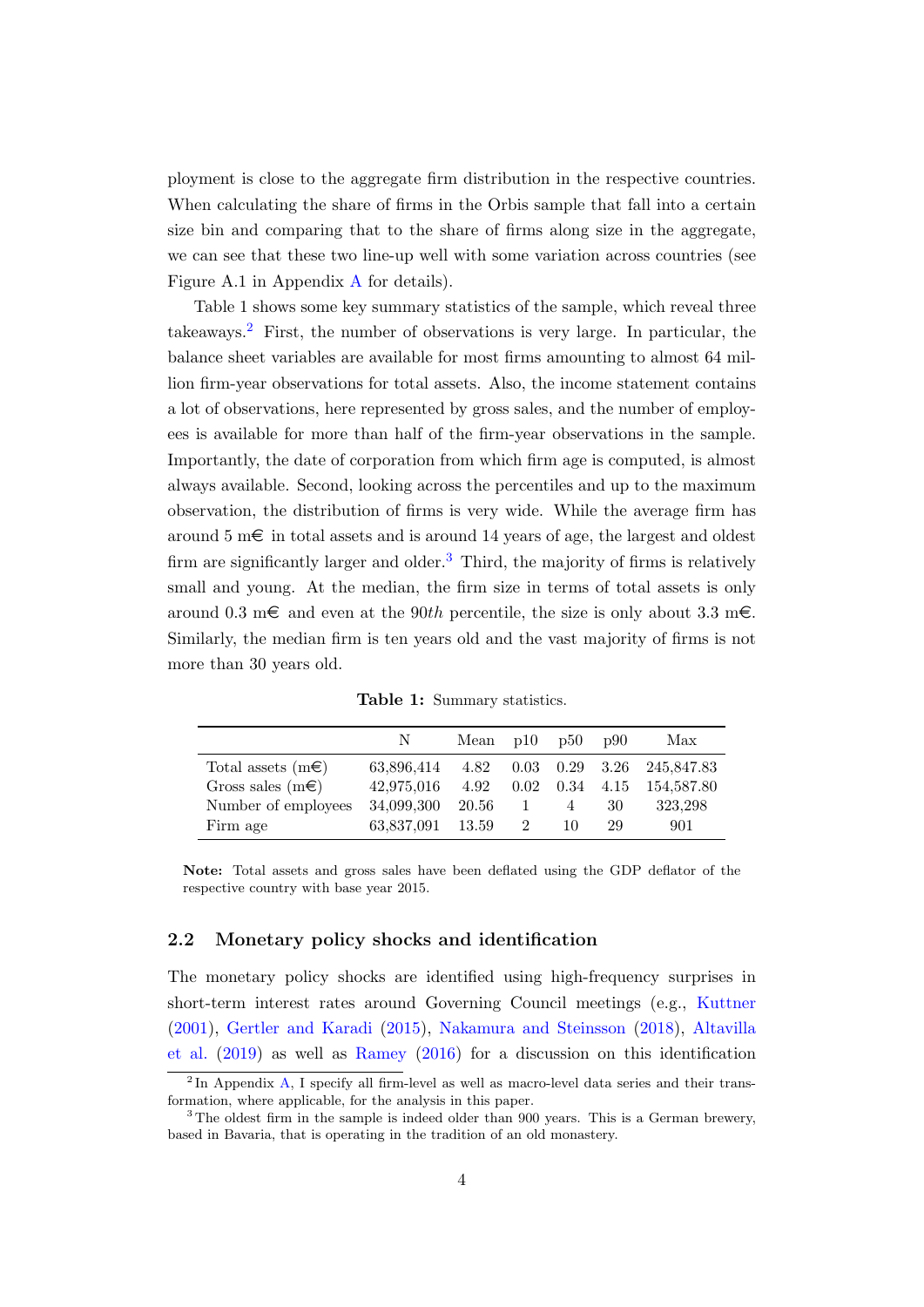ployment is close to the aggregate firm distribution in the respective countries. When calculating the share of firms in the Orbis sample that fall into a certain size bin and comparing that to the share of firms along size in the aggregate, we can see that these two line-up well with some variation across countries (see Figure A.1 in Appendix [A](#page-22-0) for details).

Table 1 shows some key summary statistics of the sample, which reveal three takeaways.[2](#page-0-0) First, the number of observations is very large. In particular, the balance sheet variables are available for most firms amounting to almost 64 million firm-year observations for total assets. Also, the income statement contains a lot of observations, here represented by gross sales, and the number of employees is available for more than half of the firm-year observations in the sample. Importantly, the date of corporation from which firm age is computed, is almost always available. Second, looking across the percentiles and up to the maximum observation, the distribution of firms is very wide. While the average firm has around 5 m $\epsilon$  in total assets and is around 14 years of age, the largest and oldest firm are significantly larger and older.<sup>[3](#page-0-0)</sup> Third, the majority of firms is relatively small and young. At the median, the firm size in terms of total assets is only around 0.3 m  $\epsilon$  and even at the 90th percentile, the size is only about 3.3 m $\epsilon$ . Similarly, the median firm is ten years old and the vast majority of firms is not more than 30 years old.

|                           | N          | Mean $p10$ |      | p50                          | <sub>p90</sub> | Max        |
|---------------------------|------------|------------|------|------------------------------|----------------|------------|
| Total assets $(m \infty)$ | 63,896,414 | 4.82       |      | $0.03 \quad 0.29 \quad 3.26$ |                | 245,847.83 |
| Gross sales $(m \infty)$  | 42,975,016 | 4.92       | 0.02 | $0.34$ 4.15                  |                | 154,587.80 |
| Number of employees       | 34,099,300 | 20.56      |      | 4                            | -30            | 323,298    |
| Firm age                  | 63,837,091 | 13.59      | 2    | 10                           | 29             | 901        |

Table 1: Summary statistics.

Note: Total assets and gross sales have been deflated using the GDP deflator of the respective country with base year 2015.

#### <span id="page-4-0"></span>2.2 Monetary policy shocks and identification

The monetary policy shocks are identified using high-frequency surprises in short-term interest rates around Governing Council meetings (e.g., [Kuttner](#page-20-8) [\(2001\)](#page-20-8), [Gertler and Karadi](#page-19-5) [\(2015\)](#page-19-5), [Nakamura and Steinsson](#page-20-9) [\(2018\)](#page-20-9), [Altavilla](#page-18-9) [et al.](#page-18-9) [\(2019\)](#page-18-9) as well as [Ramey](#page-21-0) [\(2016\)](#page-21-0) for a discussion on this identification

<sup>&</sup>lt;sup>2</sup>In Appendix [A,](#page-22-0) I specify all firm-level as well as macro-level data series and their transformation, where applicable, for the analysis in this paper.

<sup>&</sup>lt;sup>3</sup> The oldest firm in the sample is indeed older than 900 years. This is a German brewery, based in Bavaria, that is operating in the tradition of an old monastery.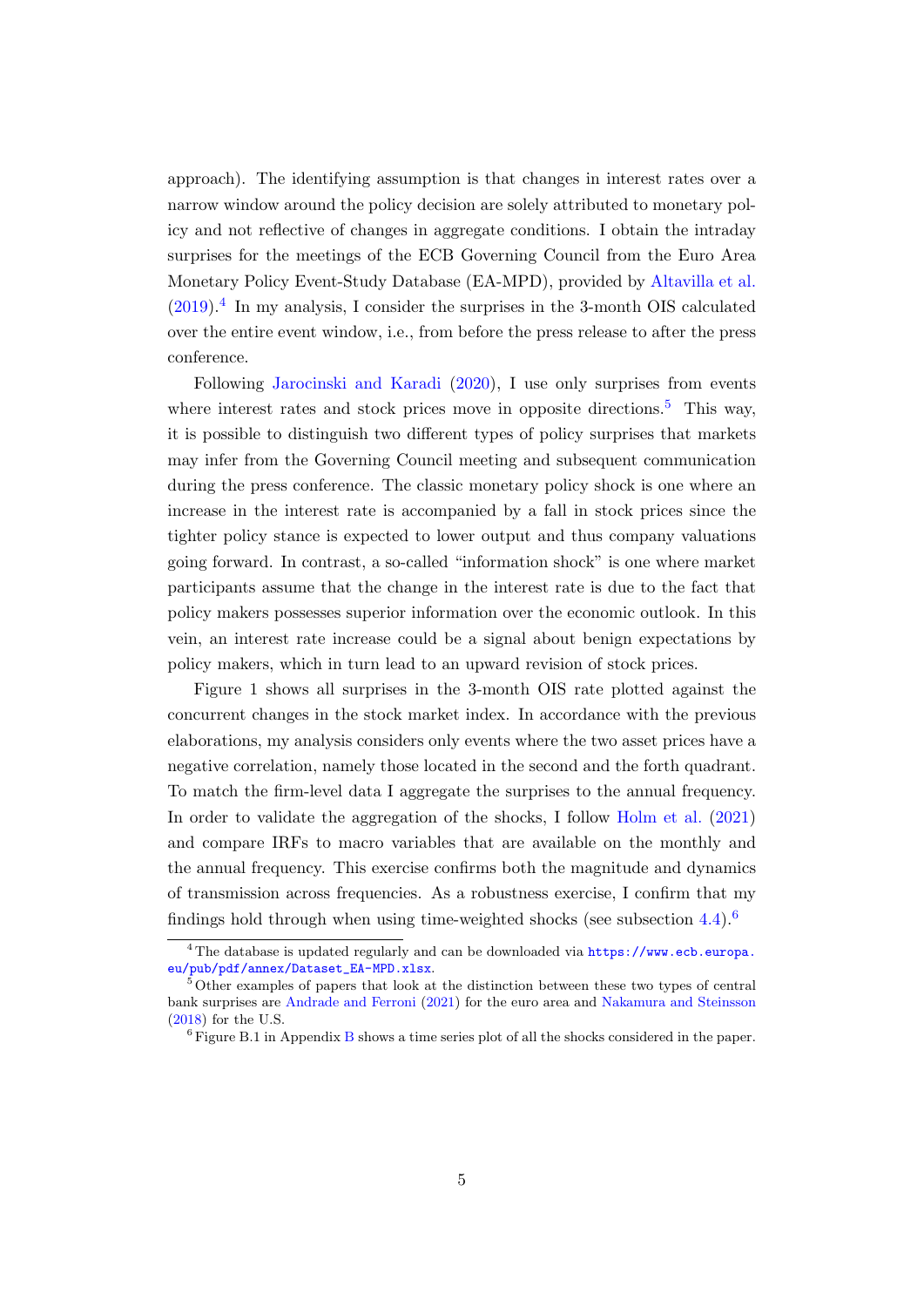approach). The identifying assumption is that changes in interest rates over a narrow window around the policy decision are solely attributed to monetary policy and not reflective of changes in aggregate conditions. I obtain the intraday surprises for the meetings of the ECB Governing Council from the Euro Area Monetary Policy Event-Study Database (EA-MPD), provided by [Altavilla et al.](#page-18-9)  $(2019).<sup>4</sup>$  $(2019).<sup>4</sup>$  $(2019).<sup>4</sup>$  $(2019).<sup>4</sup>$  In my analysis, I consider the surprises in the 3-month OIS calculated over the entire event window, i.e., from before the press release to after the press conference.

Following [Jarocinski and Karadi](#page-19-6) [\(2020\)](#page-19-6), I use only surprises from events where interest rates and stock prices move in opposite directions.<sup>[5](#page-0-0)</sup> This way, it is possible to distinguish two different types of policy surprises that markets may infer from the Governing Council meeting and subsequent communication during the press conference. The classic monetary policy shock is one where an increase in the interest rate is accompanied by a fall in stock prices since the tighter policy stance is expected to lower output and thus company valuations going forward. In contrast, a so-called "information shock" is one where market participants assume that the change in the interest rate is due to the fact that policy makers possesses superior information over the economic outlook. In this vein, an interest rate increase could be a signal about benign expectations by policy makers, which in turn lead to an upward revision of stock prices.

Figure 1 shows all surprises in the 3-month OIS rate plotted against the concurrent changes in the stock market index. In accordance with the previous elaborations, my analysis considers only events where the two asset prices have a negative correlation, namely those located in the second and the forth quadrant. To match the firm-level data I aggregate the surprises to the annual frequency. In order to validate the aggregation of the shocks, I follow [Holm et al.](#page-19-7) [\(2021\)](#page-19-7) and compare IRFs to macro variables that are available on the monthly and the annual frequency. This exercise confirms both the magnitude and dynamics of transmission across frequencies. As a robustness exercise, I confirm that my findings hold through when using time-weighted shocks (see subsection  $4.4$ ).<sup>[6](#page-0-0)</sup>

<sup>&</sup>lt;sup>4</sup> The database is updated regularly and can be downloaded via [https://www.ecb.europa.](https://www.ecb.europa.eu/pub/pdf/annex/Dataset_EA-MPD.xlsx) [eu/pub/pdf/annex/Dataset\\_EA-MPD.xlsx](https://www.ecb.europa.eu/pub/pdf/annex/Dataset_EA-MPD.xlsx).

<sup>&</sup>lt;sup>5</sup> Other examples of papers that look at the distinction between these two types of central bank surprises are [Andrade and Ferroni](#page-18-10) [\(2021\)](#page-18-10) for the euro area and [Nakamura and Steinsson](#page-20-9) [\(2018\)](#page-20-9) for the U.S.

 $6$  Figure [B](#page-25-0).1 in Appendix B shows a time series plot of all the shocks considered in the paper.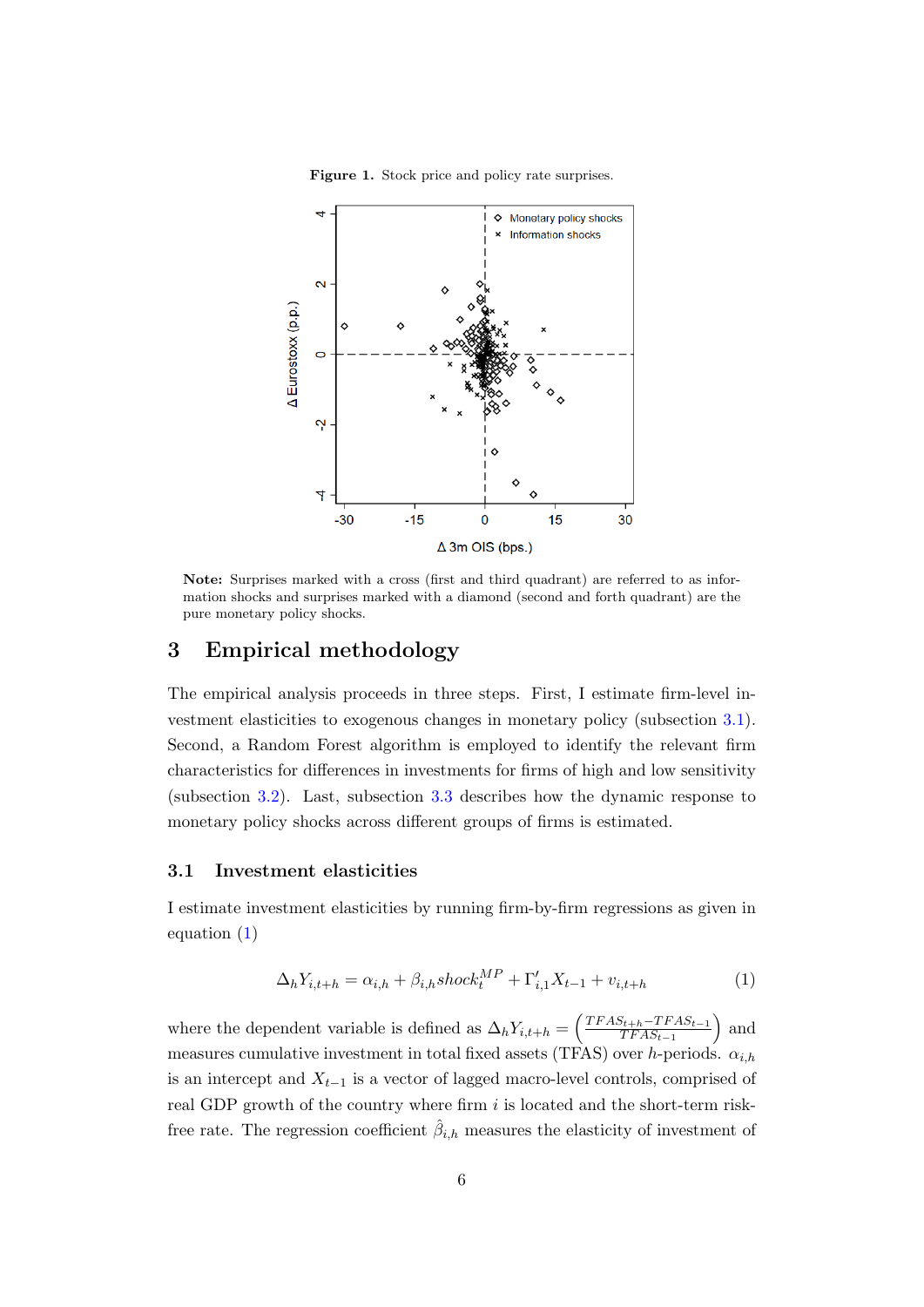

Figure 1. Stock price and policy rate surprises.

Note: Surprises marked with a cross (first and third quadrant) are referred to as information shocks and surprises marked with a diamond (second and forth quadrant) are the pure monetary policy shocks.

## <span id="page-6-0"></span>3 Empirical methodology

The empirical analysis proceeds in three steps. First, I estimate firm-level investment elasticities to exogenous changes in monetary policy (subsection [3.1\)](#page-6-1). Second, a Random Forest algorithm is employed to identify the relevant firm characteristics for differences in investments for firms of high and low sensitivity (subsection [3.2\)](#page-7-0). Last, subsection [3.3](#page-7-1) describes how the dynamic response to monetary policy shocks across different groups of firms is estimated.

#### <span id="page-6-1"></span>3.1 Investment elasticities

I estimate investment elasticities by running firm-by-firm regressions as given in equation [\(1\)](#page-6-2)

<span id="page-6-2"></span>
$$
\Delta_h Y_{i,t+h} = \alpha_{i,h} + \beta_{i,h} shock_t^{MP} + \Gamma'_{i,1} X_{t-1} + v_{i,t+h}
$$
\n(1)

where the dependent variable is defined as  $\Delta_h Y_{i,t+h} = \left(\frac{TFAS_{t+h}-TFAS_{t-1}}{TFAS_{t-1}}\right)$  $TFAS_{t-1}$ ) and measures cumulative investment in total fixed assets (TFAS) over h-periods.  $\alpha_{i,h}$ is an intercept and  $X_{t-1}$  is a vector of lagged macro-level controls, comprised of real GDP growth of the country where firm  $i$  is located and the short-term riskfree rate. The regression coefficient  $\hat{\beta}_{i,h}$  measures the elasticity of investment of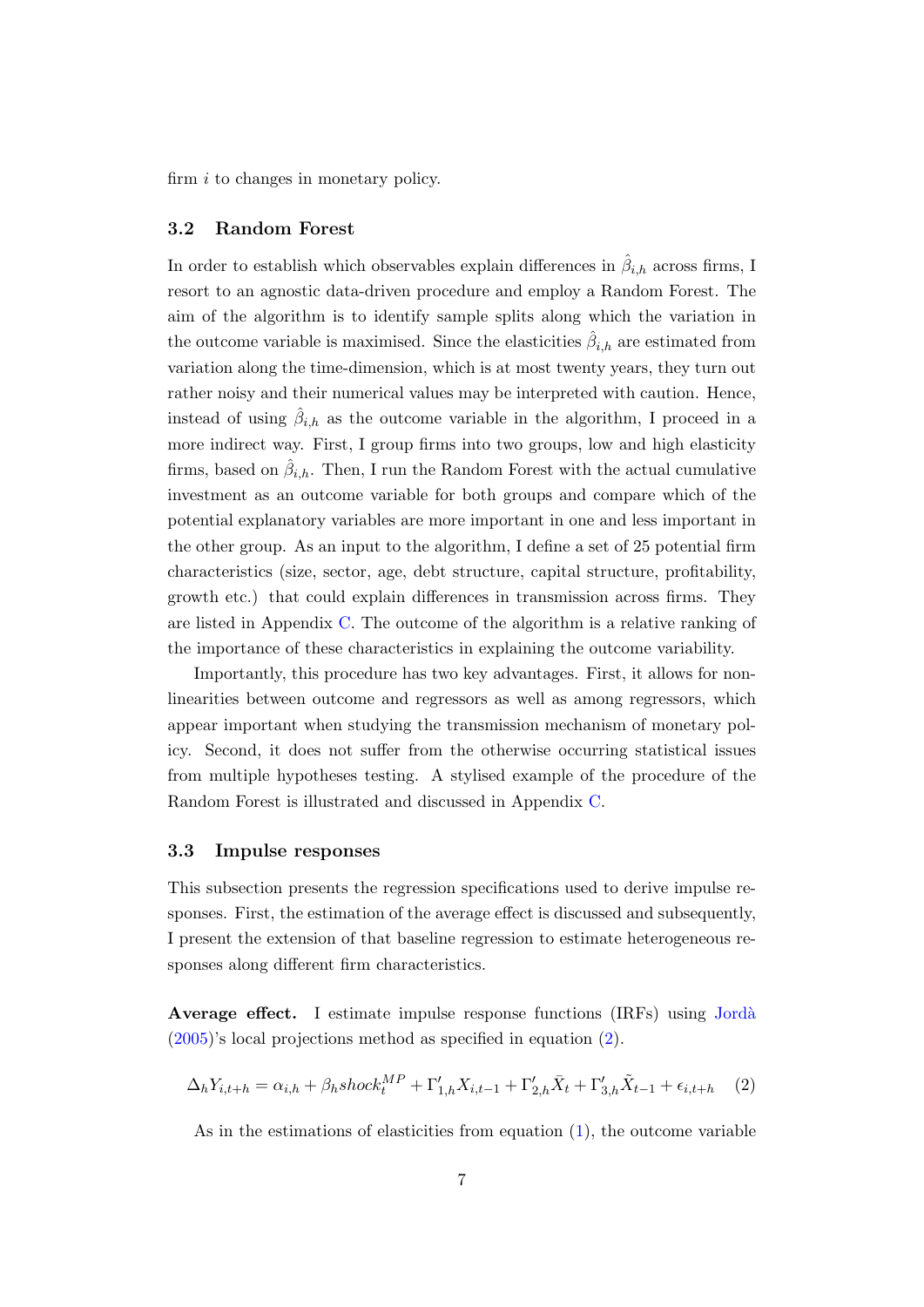firm  $i$  to changes in monetary policy.

#### <span id="page-7-0"></span>3.2 Random Forest

In order to establish which observables explain differences in  $\hat{\beta}_{i,h}$  across firms, I resort to an agnostic data-driven procedure and employ a Random Forest. The aim of the algorithm is to identify sample splits along which the variation in the outcome variable is maximised. Since the elasticities  $\hat{\beta}_{i,h}$  are estimated from variation along the time-dimension, which is at most twenty years, they turn out rather noisy and their numerical values may be interpreted with caution. Hence, instead of using  $\hat{\beta}_{i,h}$  as the outcome variable in the algorithm, I proceed in a more indirect way. First, I group firms into two groups, low and high elasticity firms, based on  $\hat{\beta}_{i,h}$ . Then, I run the Random Forest with the actual cumulative investment as an outcome variable for both groups and compare which of the potential explanatory variables are more important in one and less important in the other group. As an input to the algorithm, I define a set of 25 potential firm characteristics (size, sector, age, debt structure, capital structure, profitability, growth etc.) that could explain differences in transmission across firms. They are listed in Appendix [C.](#page-25-1) The outcome of the algorithm is a relative ranking of the importance of these characteristics in explaining the outcome variability.

Importantly, this procedure has two key advantages. First, it allows for nonlinearities between outcome and regressors as well as among regressors, which appear important when studying the transmission mechanism of monetary policy. Second, it does not suffer from the otherwise occurring statistical issues from multiple hypotheses testing. A stylised example of the procedure of the Random Forest is illustrated and discussed in Appendix [C.](#page-25-1)

#### <span id="page-7-1"></span>3.3 Impulse responses

This subsection presents the regression specifications used to derive impulse responses. First, the estimation of the average effect is discussed and subsequently, I present the extension of that baseline regression to estimate heterogeneous responses along different firm characteristics.

Average effect. I estimate impulse response functions (IRFs) using Jordà [\(2005\)](#page-20-2)'s local projections method as specified in equation [\(2\)](#page-7-2).

<span id="page-7-2"></span>
$$
\Delta_h Y_{i,t+h} = \alpha_{i,h} + \beta_h shock_t^{MP} + \Gamma'_{1,h} X_{i,t-1} + \Gamma'_{2,h} \bar{X}_t + \Gamma'_{3,h} \tilde{X}_{t-1} + \epsilon_{i,t+h} \quad (2)
$$

As in the estimations of elasticities from equation  $(1)$ , the outcome variable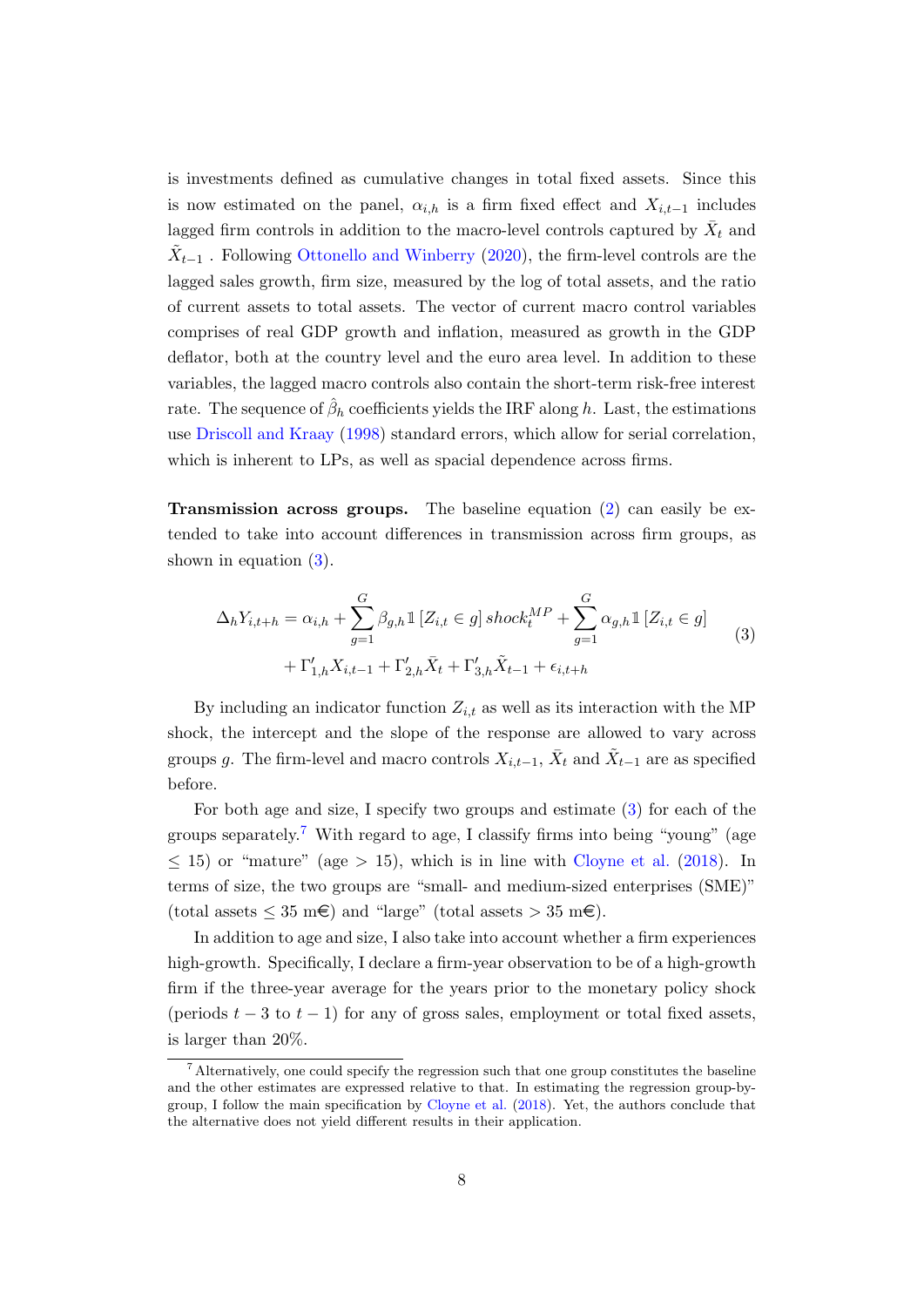is investments defined as cumulative changes in total fixed assets. Since this is now estimated on the panel,  $\alpha_{i,h}$  is a firm fixed effect and  $X_{i,t-1}$  includes lagged firm controls in addition to the macro-level controls captured by  $\bar{X}_t$  and  $\tilde{X}_{t-1}$ . Following [Ottonello and Winberry](#page-20-4) [\(2020\)](#page-20-4), the firm-level controls are the lagged sales growth, firm size, measured by the log of total assets, and the ratio of current assets to total assets. The vector of current macro control variables comprises of real GDP growth and inflation, measured as growth in the GDP deflator, both at the country level and the euro area level. In addition to these variables, the lagged macro controls also contain the short-term risk-free interest rate. The sequence of  $\hat{\beta}_h$  coefficients yields the IRF along  $h$ . Last, the estimations use [Driscoll and Kraay](#page-19-8) [\(1998\)](#page-19-8) standard errors, which allow for serial correlation, which is inherent to LPs, as well as spacial dependence across firms.

**Transmission across groups.** The baseline equation  $(2)$  can easily be extended to take into account differences in transmission across firm groups, as shown in equation [\(3\)](#page-8-0).

<span id="page-8-0"></span>
$$
\Delta_h Y_{i,t+h} = \alpha_{i,h} + \sum_{g=1}^G \beta_{g,h} \mathbb{1} \left[ Z_{i,t} \in g \right] \operatorname{shock}_t^{MP} + \sum_{g=1}^G \alpha_{g,h} \mathbb{1} \left[ Z_{i,t} \in g \right] + \Gamma'_{1,h} X_{i,t-1} + \Gamma'_{2,h} \bar{X}_t + \Gamma'_{3,h} \tilde{X}_{t-1} + \epsilon_{i,t+h}
$$
\n(3)

By including an indicator function  $Z_{i,t}$  as well as its interaction with the MP shock, the intercept and the slope of the response are allowed to vary across groups g. The firm-level and macro controls  $X_{i,t-1}$ ,  $\bar{X}_t$  and  $\tilde{X}_{t-1}$  are as specified before.

For both age and size, I specify two groups and estimate [\(3\)](#page-8-0) for each of the groups separately.<sup>[7](#page-0-0)</sup> With regard to age, I classify firms into being "young" (age  $\leq$  15) or "mature" (age  $>$  15), which is in line with [Cloyne et al.](#page-18-4) [\(2018\)](#page-18-4). In terms of size, the two groups are "small- and medium-sized enterprises (SME)" (total assets  $\leq 35$  m $\epsilon$ ) and "large" (total assets  $> 35$  m $\epsilon$ ).

In addition to age and size, I also take into account whether a firm experiences high-growth. Specifically, I declare a firm-year observation to be of a high-growth firm if the three-year average for the years prior to the monetary policy shock (periods  $t - 3$  to  $t - 1$ ) for any of gross sales, employment or total fixed assets, is larger than 20%.

<sup>7</sup> Alternatively, one could specify the regression such that one group constitutes the baseline and the other estimates are expressed relative to that. In estimating the regression group-bygroup, I follow the main specification by [Cloyne et al.](#page-18-4) [\(2018\)](#page-18-4). Yet, the authors conclude that the alternative does not yield different results in their application.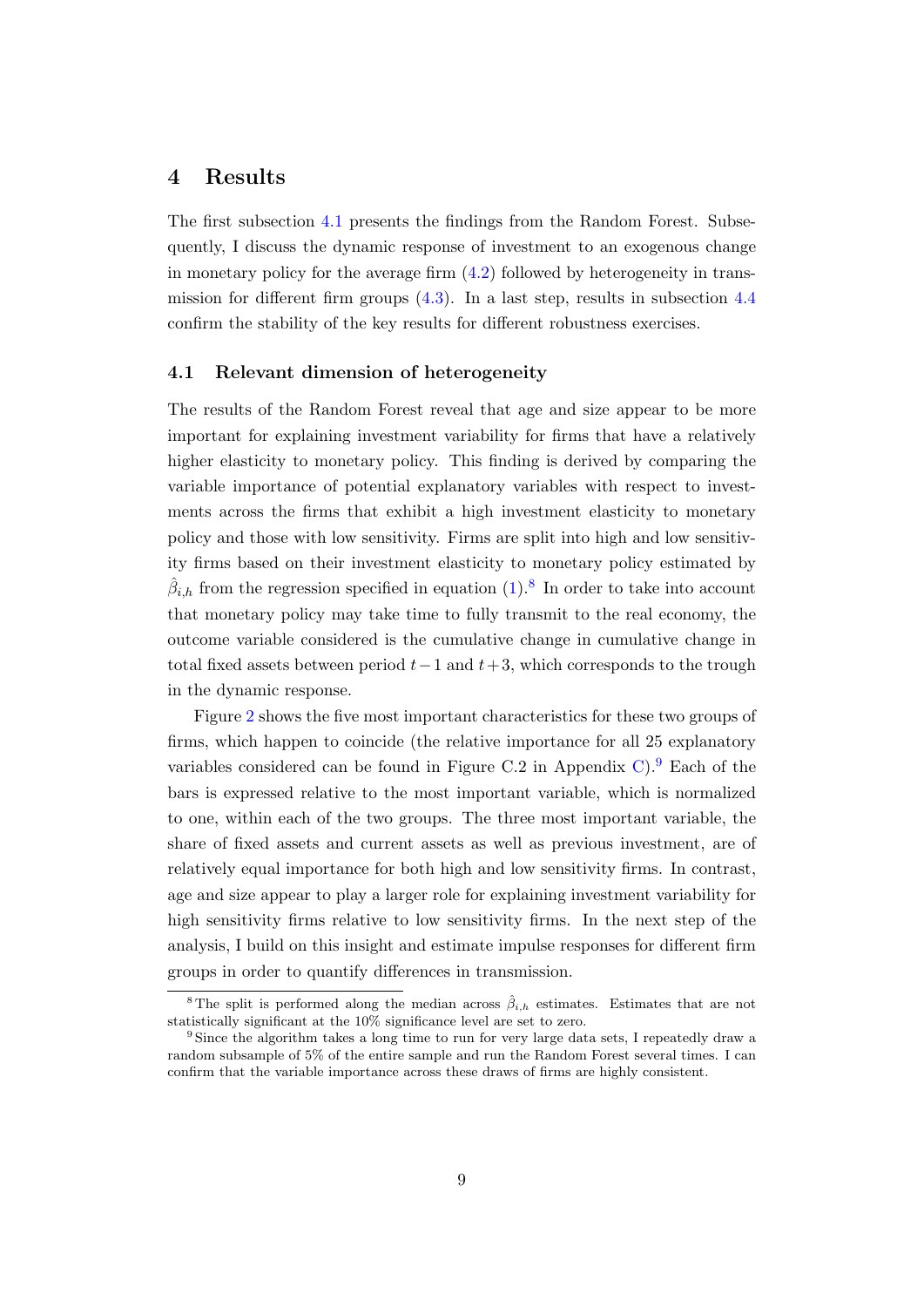## <span id="page-9-0"></span>4 Results

The first subsection [4.1](#page-9-1) presents the findings from the Random Forest. Subsequently, I discuss the dynamic response of investment to an exogenous change in monetary policy for the average firm [\(4.2\)](#page-10-0) followed by heterogeneity in transmission for different firm groups [\(4.3\)](#page-11-0). In a last step, results in subsection [4.4](#page-14-0) confirm the stability of the key results for different robustness exercises.

#### <span id="page-9-1"></span>4.1 Relevant dimension of heterogeneity

The results of the Random Forest reveal that age and size appear to be more important for explaining investment variability for firms that have a relatively higher elasticity to monetary policy. This finding is derived by comparing the variable importance of potential explanatory variables with respect to investments across the firms that exhibit a high investment elasticity to monetary policy and those with low sensitivity. Firms are split into high and low sensitivity firms based on their investment elasticity to monetary policy estimated by  $\hat{\beta}_{i,h}$  from the regression specified in equation [\(1\)](#page-6-2).<sup>[8](#page-0-0)</sup> In order to take into account that monetary policy may take time to fully transmit to the real economy, the outcome variable considered is the cumulative change in cumulative change in total fixed assets between period  $t-1$  and  $t+3$ , which corresponds to the trough in the dynamic response.

Figure [2](#page-10-1) shows the five most important characteristics for these two groups of firms, which happen to coincide (the relative importance for all 25 explanatory variables considered can be found in Figure C.2 in Appendix [C\)](#page-25-1).<sup>[9](#page-0-0)</sup> Each of the bars is expressed relative to the most important variable, which is normalized to one, within each of the two groups. The three most important variable, the share of fixed assets and current assets as well as previous investment, are of relatively equal importance for both high and low sensitivity firms. In contrast, age and size appear to play a larger role for explaining investment variability for high sensitivity firms relative to low sensitivity firms. In the next step of the analysis, I build on this insight and estimate impulse responses for different firm groups in order to quantify differences in transmission.

<sup>&</sup>lt;sup>8</sup> The split is performed along the median across  $\hat{\beta}_{i,h}$  estimates. Estimates that are not statistically significant at the 10% significance level are set to zero.

<sup>&</sup>lt;sup>9</sup> Since the algorithm takes a long time to run for very large data sets, I repeatedly draw a random subsample of 5% of the entire sample and run the Random Forest several times. I can confirm that the variable importance across these draws of firms are highly consistent.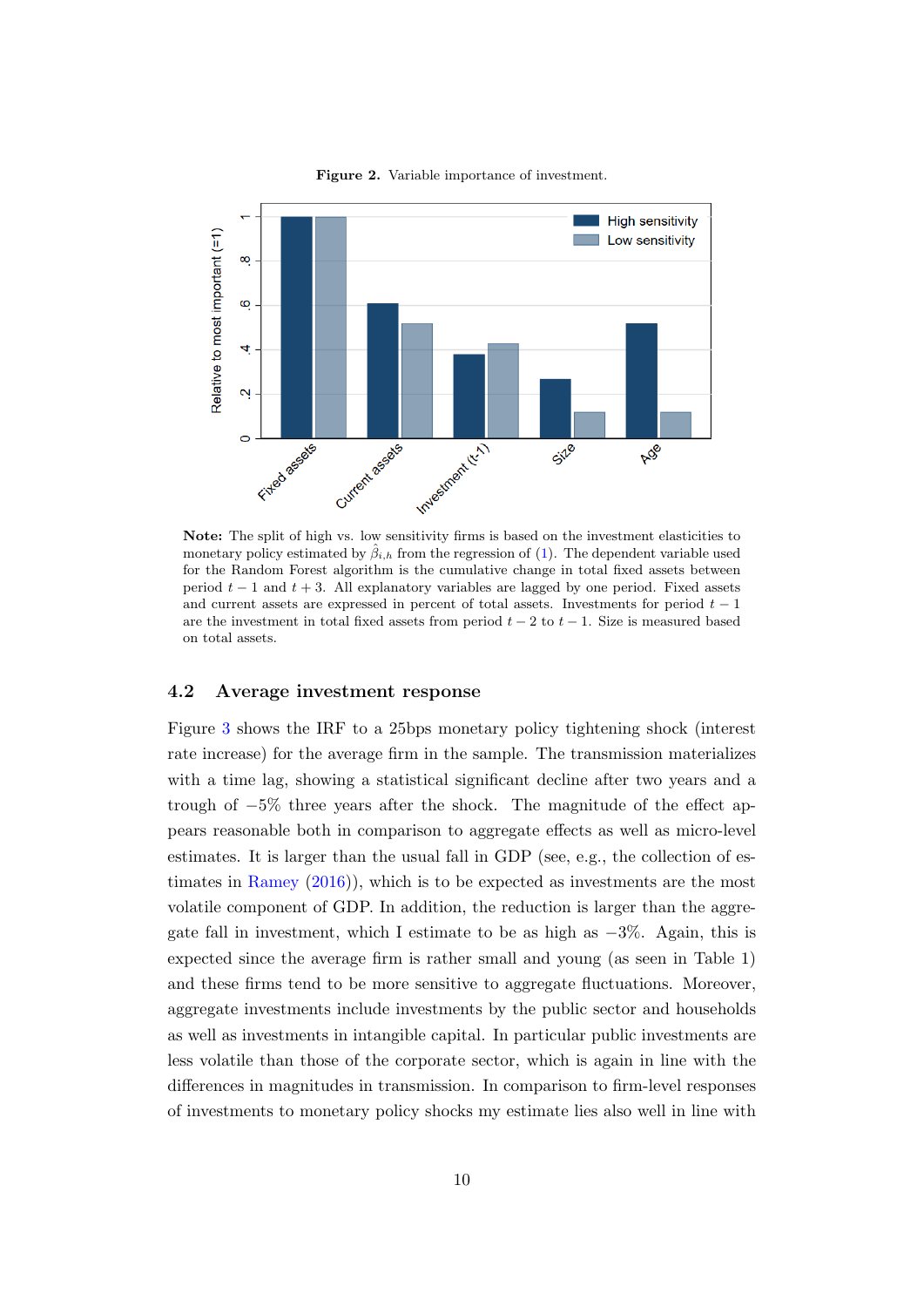<span id="page-10-1"></span>

Figure 2. Variable importance of investment.

Note: The split of high vs. low sensitivity firms is based on the investment elasticities to monetary policy estimated by  $\hat{\beta}_{i,h}$  from the regression of [\(1\)](#page-6-2). The dependent variable used for the Random Forest algorithm is the cumulative change in total fixed assets between period  $t - 1$  and  $t + 3$ . All explanatory variables are lagged by one period. Fixed assets and current assets are expressed in percent of total assets. Investments for period  $t - 1$ are the investment in total fixed assets from period  $t - 2$  to  $t - 1$ . Size is measured based on total assets.

#### <span id="page-10-0"></span>4.2 Average investment response

Figure [3](#page-11-1) shows the IRF to a 25bps monetary policy tightening shock (interest rate increase) for the average firm in the sample. The transmission materializes with a time lag, showing a statistical significant decline after two years and a trough of −5% three years after the shock. The magnitude of the effect appears reasonable both in comparison to aggregate effects as well as micro-level estimates. It is larger than the usual fall in GDP (see, e.g., the collection of es-timates in [Ramey](#page-21-0)  $(2016)$ , which is to be expected as investments are the most volatile component of GDP. In addition, the reduction is larger than the aggregate fall in investment, which I estimate to be as high as  $-3\%$ . Again, this is expected since the average firm is rather small and young (as seen in Table 1) and these firms tend to be more sensitive to aggregate fluctuations. Moreover, aggregate investments include investments by the public sector and households as well as investments in intangible capital. In particular public investments are less volatile than those of the corporate sector, which is again in line with the differences in magnitudes in transmission. In comparison to firm-level responses of investments to monetary policy shocks my estimate lies also well in line with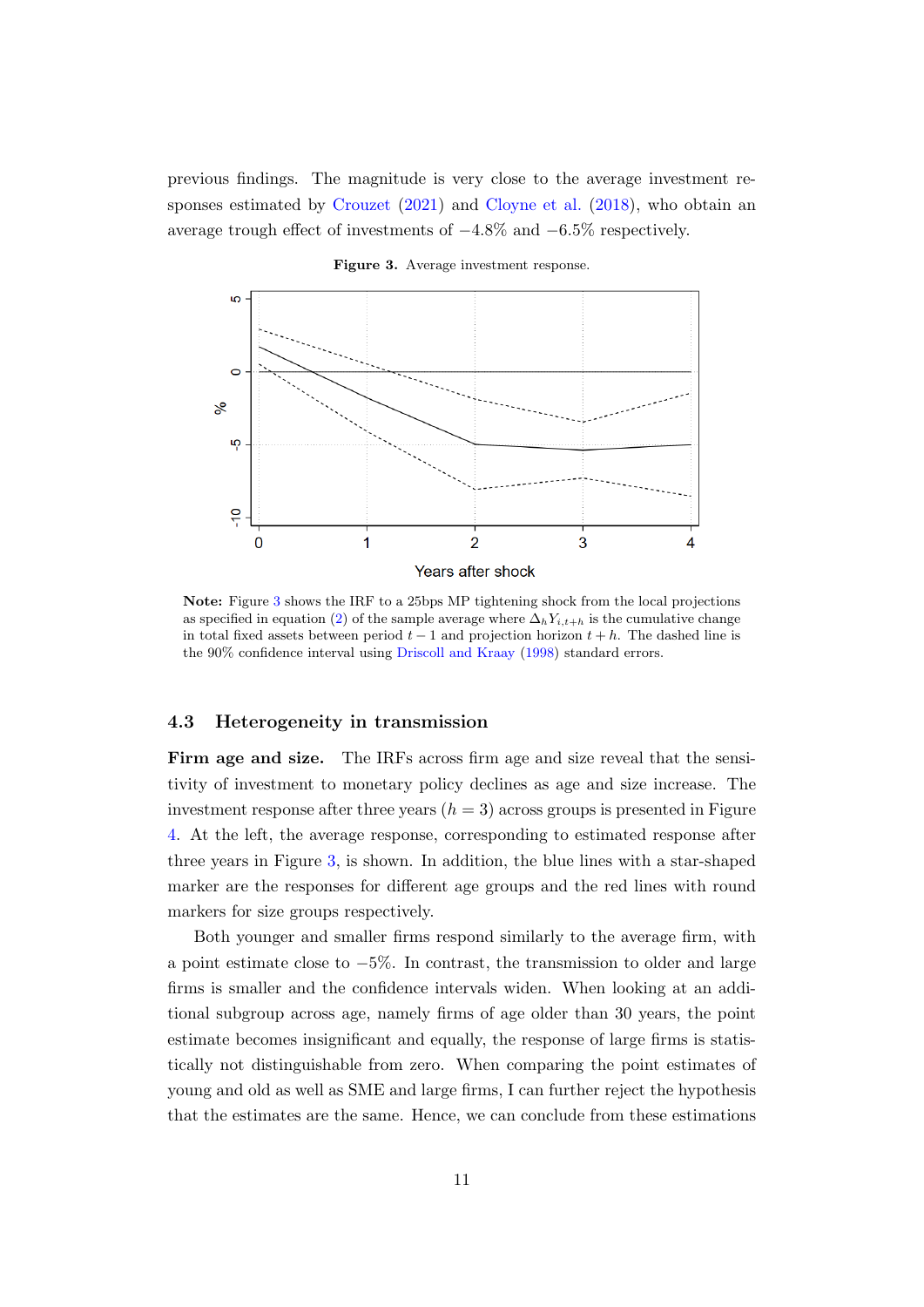previous findings. The magnitude is very close to the average investment responses estimated by [Crouzet](#page-18-6) [\(2021\)](#page-18-6) and [Cloyne et al.](#page-18-4) [\(2018\)](#page-18-4), who obtain an average trough effect of investments of  $-4.8\%$  and  $-6.5\%$  respectively.

<span id="page-11-1"></span>

Figure 3. Average investment response.

Note: Figure [3](#page-11-1) shows the IRF to a 25bps MP tightening shock from the local projections as specified in equation [\(2\)](#page-7-2) of the sample average where  $\Delta_h Y_{i,t+h}$  is the cumulative change in total fixed assets between period  $t - 1$  and projection horizon  $t + h$ . The dashed line is the 90% confidence interval using [Driscoll and Kraay](#page-19-8) [\(1998\)](#page-19-8) standard errors.

### <span id="page-11-0"></span>4.3 Heterogeneity in transmission

Firm age and size. The IRFs across firm age and size reveal that the sensitivity of investment to monetary policy declines as age and size increase. The investment response after three years  $(h = 3)$  across groups is presented in Figure [4.](#page-12-0) At the left, the average response, corresponding to estimated response after three years in Figure [3,](#page-11-1) is shown. In addition, the blue lines with a star-shaped marker are the responses for different age groups and the red lines with round markers for size groups respectively.

Both younger and smaller firms respond similarly to the average firm, with a point estimate close to  $-5\%$ . In contrast, the transmission to older and large firms is smaller and the confidence intervals widen. When looking at an additional subgroup across age, namely firms of age older than 30 years, the point estimate becomes insignificant and equally, the response of large firms is statistically not distinguishable from zero. When comparing the point estimates of young and old as well as SME and large firms, I can further reject the hypothesis that the estimates are the same. Hence, we can conclude from these estimations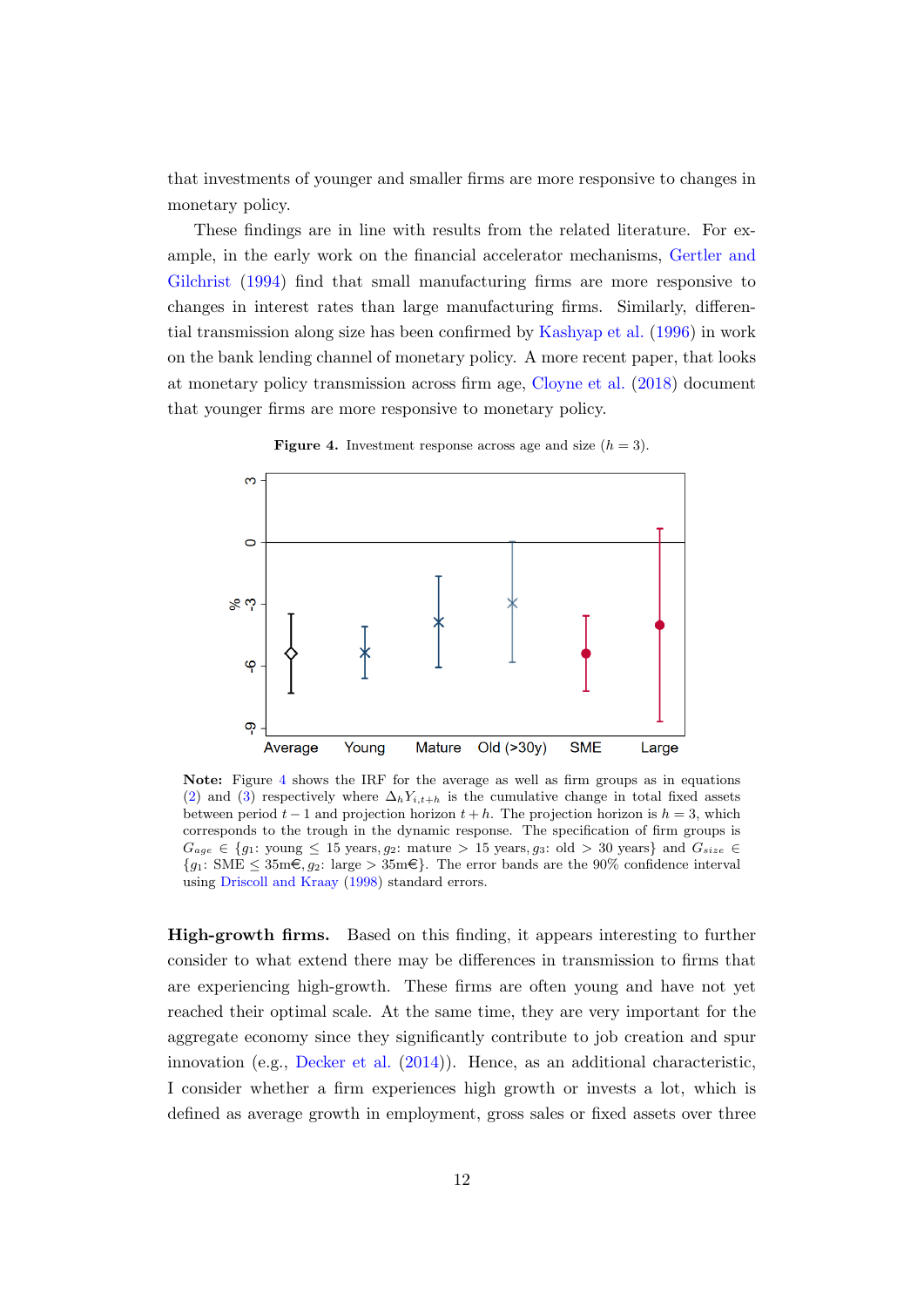that investments of younger and smaller firms are more responsive to changes in monetary policy.

These findings are in line with results from the related literature. For example, in the early work on the financial accelerator mechanisms, [Gertler and](#page-19-9) [Gilchrist](#page-19-9) [\(1994\)](#page-19-9) find that small manufacturing firms are more responsive to changes in interest rates than large manufacturing firms. Similarly, differential transmission along size has been confirmed by [Kashyap et al.](#page-20-3) [\(1996\)](#page-20-3) in work on the bank lending channel of monetary policy. A more recent paper, that looks at monetary policy transmission across firm age, [Cloyne et al.](#page-18-4) [\(2018\)](#page-18-4) document that younger firms are more responsive to monetary policy.

<span id="page-12-0"></span>

**Figure 4.** Investment response across age and size  $(h = 3)$ .

Note: Figure [4](#page-12-0) shows the IRF for the average as well as firm groups as in equations [\(2\)](#page-7-2) and [\(3\)](#page-8-0) respectively where  $\Delta_h Y_{i,t+h}$  is the cumulative change in total fixed assets between period  $t-1$  and projection horizon  $t+h$ . The projection horizon is  $h=3$ , which corresponds to the trough in the dynamic response. The specification of firm groups is  $G_{age} \in \{g_1: \text{ young } \leq 15 \text{ years}, g_2: \text{ mature } > 15 \text{ years}, g_3: \text{ old } > 30 \text{ years} \}$  and  $G_{size} \in$  ${q_1: \text{SME } \leq 35 \text{m} \in , q_2: \text{large } > 35 \text{m} \in }.$  The error bands are the 90% confidence interval using [Driscoll and Kraay](#page-19-8) [\(1998\)](#page-19-8) standard errors.

High-growth firms. Based on this finding, it appears interesting to further consider to what extend there may be differences in transmission to firms that are experiencing high-growth. These firms are often young and have not yet reached their optimal scale. At the same time, they are very important for the aggregate economy since they significantly contribute to job creation and spur innovation (e.g., [Decker et al.](#page-18-11) [\(2014\)](#page-18-11)). Hence, as an additional characteristic, I consider whether a firm experiences high growth or invests a lot, which is defined as average growth in employment, gross sales or fixed assets over three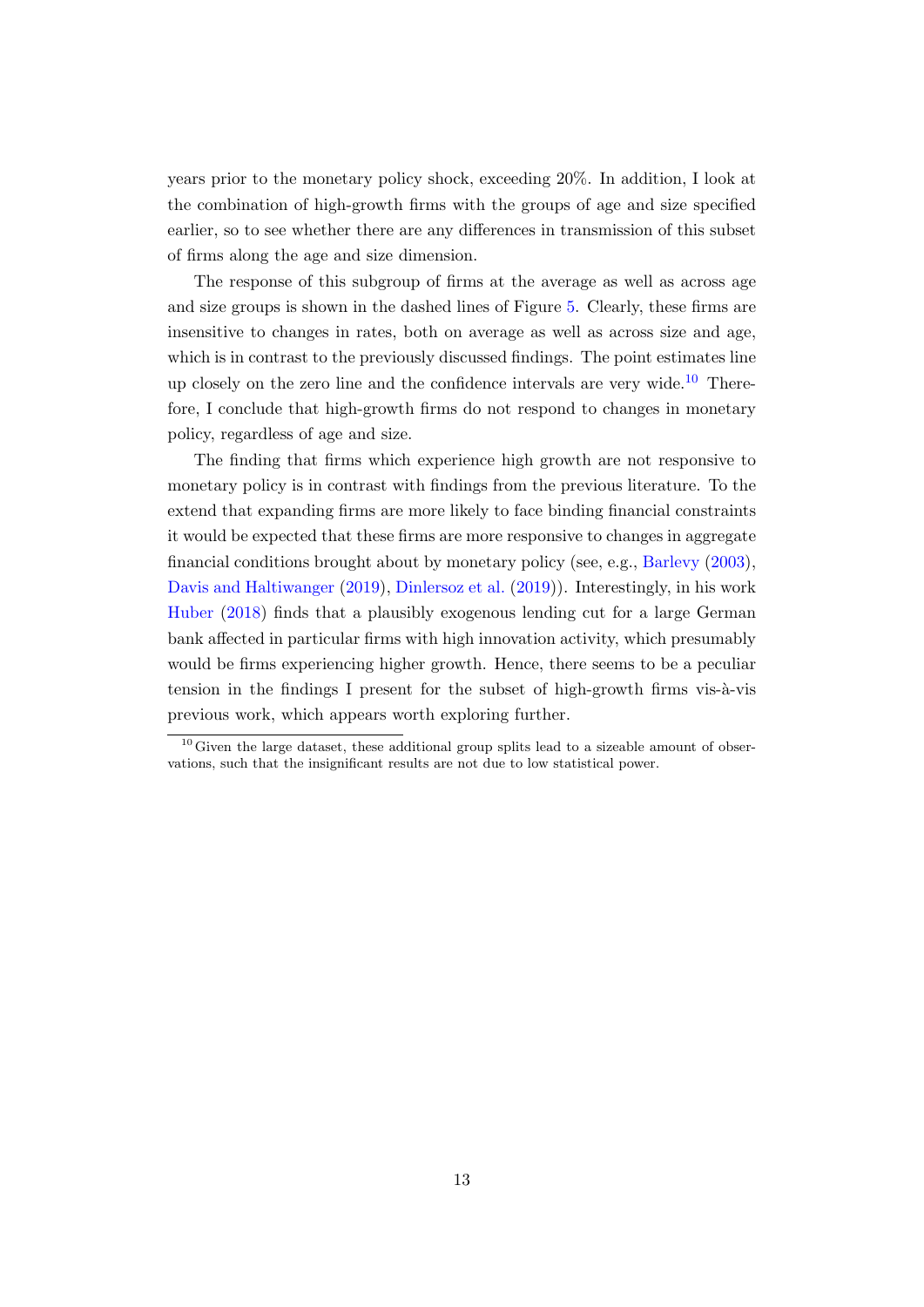years prior to the monetary policy shock, exceeding 20%. In addition, I look at the combination of high-growth firms with the groups of age and size specified earlier, so to see whether there are any differences in transmission of this subset of firms along the age and size dimension.

The response of this subgroup of firms at the average as well as across age and size groups is shown in the dashed lines of Figure [5.](#page-14-1) Clearly, these firms are insensitive to changes in rates, both on average as well as across size and age, which is in contrast to the previously discussed findings. The point estimates line up closely on the zero line and the confidence intervals are very wide.<sup>[10](#page-0-0)</sup> Therefore, I conclude that high-growth firms do not respond to changes in monetary policy, regardless of age and size.

The finding that firms which experience high growth are not responsive to monetary policy is in contrast with findings from the previous literature. To the extend that expanding firms are more likely to face binding financial constraints it would be expected that these firms are more responsive to changes in aggregate financial conditions brought about by monetary policy (see, e.g., [Barlevy](#page-18-8) [\(2003\)](#page-18-8), [Davis and Haltiwanger](#page-18-12) [\(2019\)](#page-18-12), [Dinlersoz et al.](#page-19-4) [\(2019\)](#page-19-4)). Interestingly, in his work [Huber](#page-19-3) [\(2018\)](#page-19-3) finds that a plausibly exogenous lending cut for a large German bank affected in particular firms with high innovation activity, which presumably would be firms experiencing higher growth. Hence, there seems to be a peculiar tension in the findings I present for the subset of high-growth firms vis- $\grave{a}$ -vis previous work, which appears worth exploring further.

 $10$  Given the large dataset, these additional group splits lead to a sizeable amount of observations, such that the insignificant results are not due to low statistical power.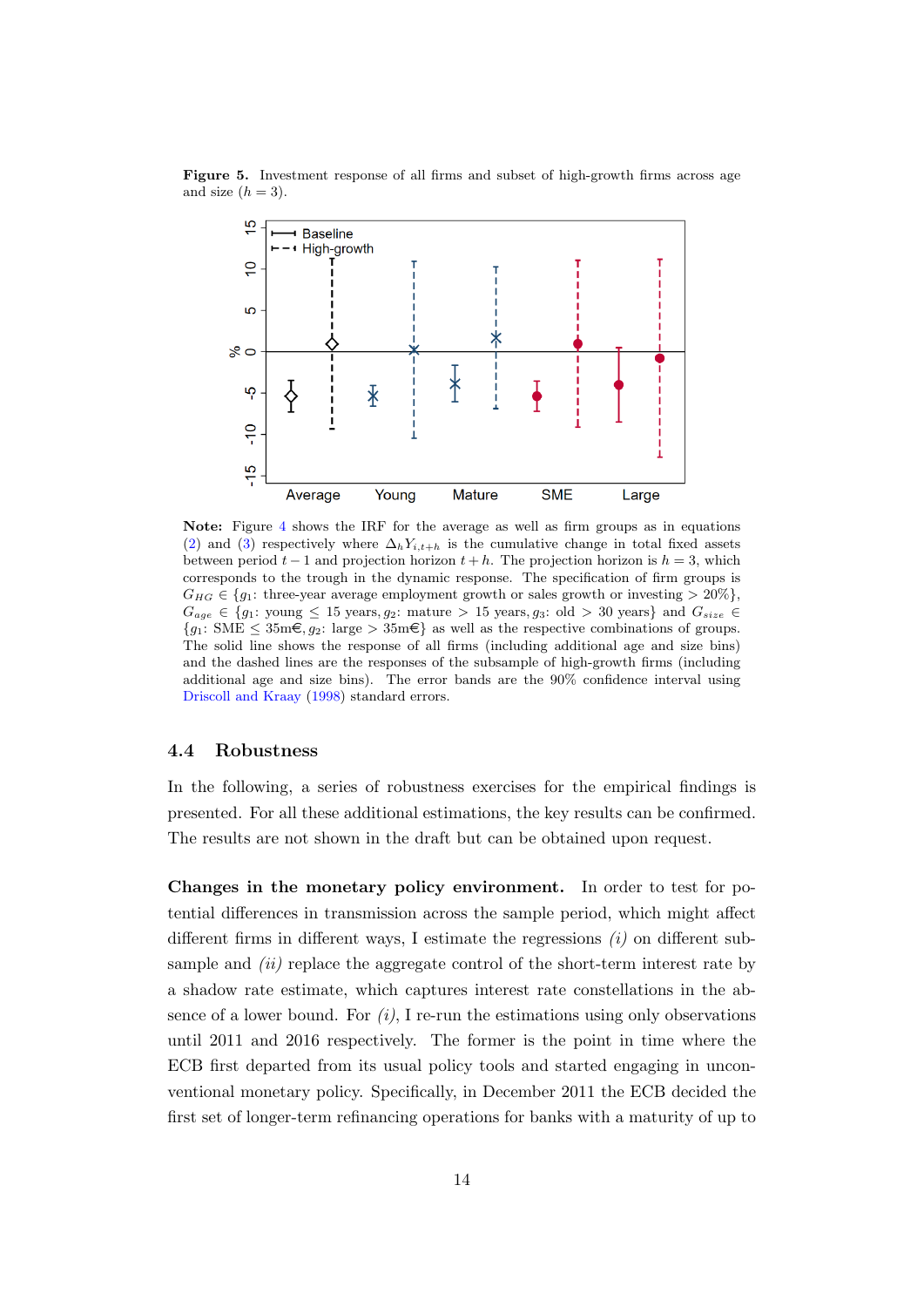

<span id="page-14-1"></span>Figure 5. Investment response of all firms and subset of high-growth firms across age and size  $(h = 3)$ .

Note: Figure [4](#page-12-0) shows the IRF for the average as well as firm groups as in equations [\(2\)](#page-7-2) and [\(3\)](#page-8-0) respectively where  $\Delta_h Y_{i,t+h}$  is the cumulative change in total fixed assets between period  $t - 1$  and projection horizon  $t + h$ . The projection horizon is  $h = 3$ , which corresponds to the trough in the dynamic response. The specification of firm groups is  $G_{HG} \in \{q_1: \text{ three-year average employment growth or sales growth or investing } > 20\% \},$  $G_{age} \in \{g_1: \text{ young } \leq 15 \text{ years}, g_2: \text{ mature } > 15 \text{ years}, g_3: \text{ old } > 30 \text{ years}\}\$  and  $G_{size} \in$  ${g_1: \text{SME } \leq 35 \text{m} \in, g_2: \text{large } > 35 \text{m} \in}$  as well as the respective combinations of groups. The solid line shows the response of all firms (including additional age and size bins) and the dashed lines are the responses of the subsample of high-growth firms (including additional age and size bins). The error bands are the 90% confidence interval using [Driscoll and Kraay](#page-19-8) [\(1998\)](#page-19-8) standard errors.

#### <span id="page-14-0"></span>4.4 Robustness

In the following, a series of robustness exercises for the empirical findings is presented. For all these additional estimations, the key results can be confirmed. The results are not shown in the draft but can be obtained upon request.

Changes in the monetary policy environment. In order to test for potential differences in transmission across the sample period, which might affect different firms in different ways, I estimate the regressions  $(i)$  on different subsample and  $(ii)$  replace the aggregate control of the short-term interest rate by a shadow rate estimate, which captures interest rate constellations in the absence of a lower bound. For  $(i)$ , I re-run the estimations using only observations until 2011 and 2016 respectively. The former is the point in time where the ECB first departed from its usual policy tools and started engaging in unconventional monetary policy. Specifically, in December 2011 the ECB decided the first set of longer-term refinancing operations for banks with a maturity of up to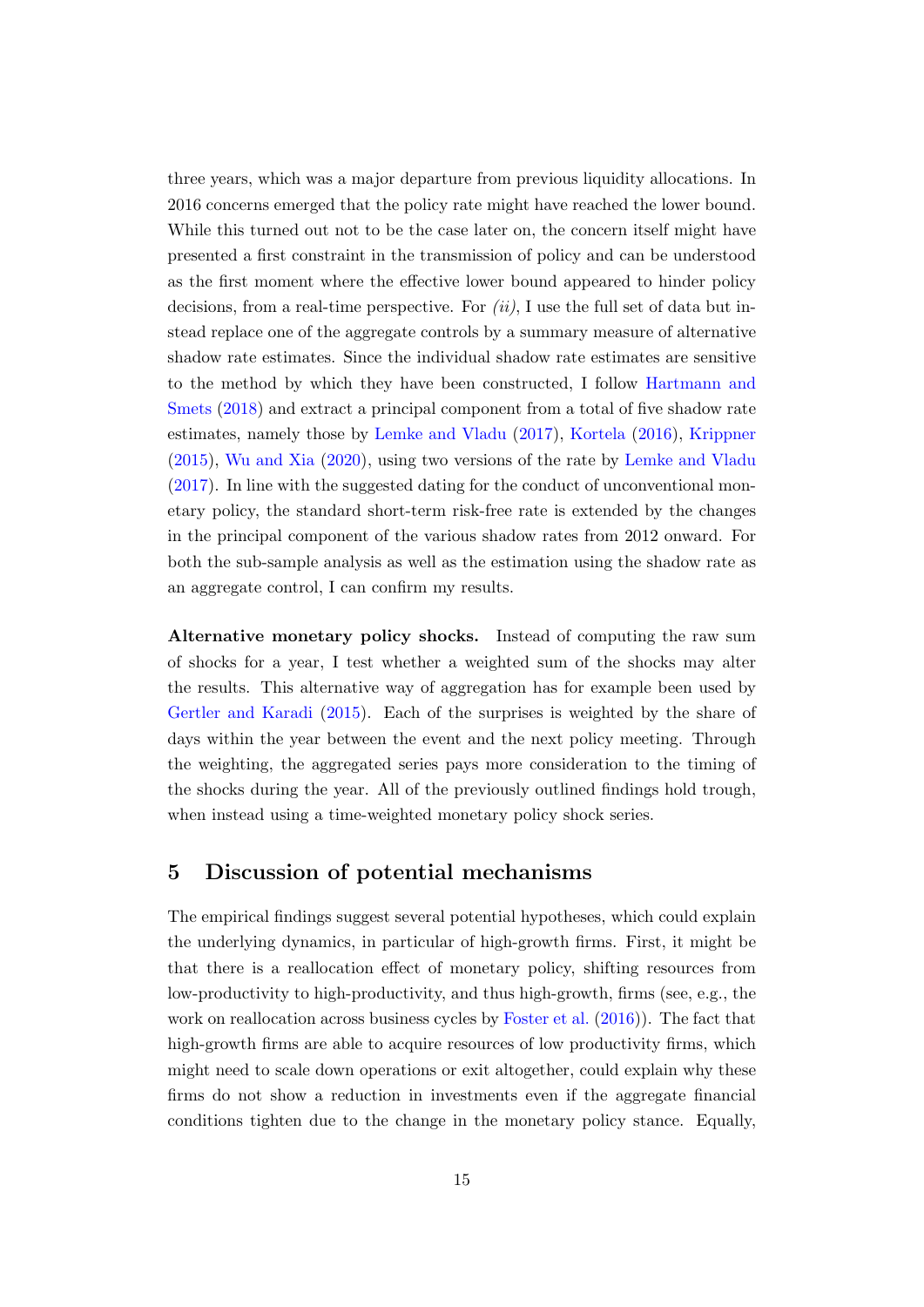three years, which was a major departure from previous liquidity allocations. In 2016 concerns emerged that the policy rate might have reached the lower bound. While this turned out not to be the case later on, the concern itself might have presented a first constraint in the transmission of policy and can be understood as the first moment where the effective lower bound appeared to hinder policy decisions, from a real-time perspective. For  $(ii)$ , I use the full set of data but instead replace one of the aggregate controls by a summary measure of alternative shadow rate estimates. Since the individual shadow rate estimates are sensitive to the method by which they have been constructed, I follow [Hartmann and](#page-19-10) [Smets](#page-19-10) [\(2018\)](#page-19-10) and extract a principal component from a total of five shadow rate estimates, namely those by [Lemke and Vladu](#page-20-10) [\(2017\)](#page-20-10), [Kortela](#page-20-11) [\(2016\)](#page-20-11), [Krippner](#page-20-12) [\(2015\)](#page-20-12), [Wu and Xia](#page-21-1) [\(2020\)](#page-21-1), using two versions of the rate by [Lemke and Vladu](#page-20-10) [\(2017\)](#page-20-10). In line with the suggested dating for the conduct of unconventional monetary policy, the standard short-term risk-free rate is extended by the changes in the principal component of the various shadow rates from 2012 onward. For both the sub-sample analysis as well as the estimation using the shadow rate as an aggregate control, I can confirm my results.

Alternative monetary policy shocks. Instead of computing the raw sum of shocks for a year, I test whether a weighted sum of the shocks may alter the results. This alternative way of aggregation has for example been used by [Gertler and Karadi](#page-19-5) [\(2015\)](#page-19-5). Each of the surprises is weighted by the share of days within the year between the event and the next policy meeting. Through the weighting, the aggregated series pays more consideration to the timing of the shocks during the year. All of the previously outlined findings hold trough, when instead using a time-weighted monetary policy shock series.

## <span id="page-15-0"></span>5 Discussion of potential mechanisms

The empirical findings suggest several potential hypotheses, which could explain the underlying dynamics, in particular of high-growth firms. First, it might be that there is a reallocation effect of monetary policy, shifting resources from low-productivity to high-productivity, and thus high-growth, firms (see, e.g., the work on reallocation across business cycles by [Foster et al.](#page-19-11) [\(2016\)](#page-19-11)). The fact that high-growth firms are able to acquire resources of low productivity firms, which might need to scale down operations or exit altogether, could explain why these firms do not show a reduction in investments even if the aggregate financial conditions tighten due to the change in the monetary policy stance. Equally,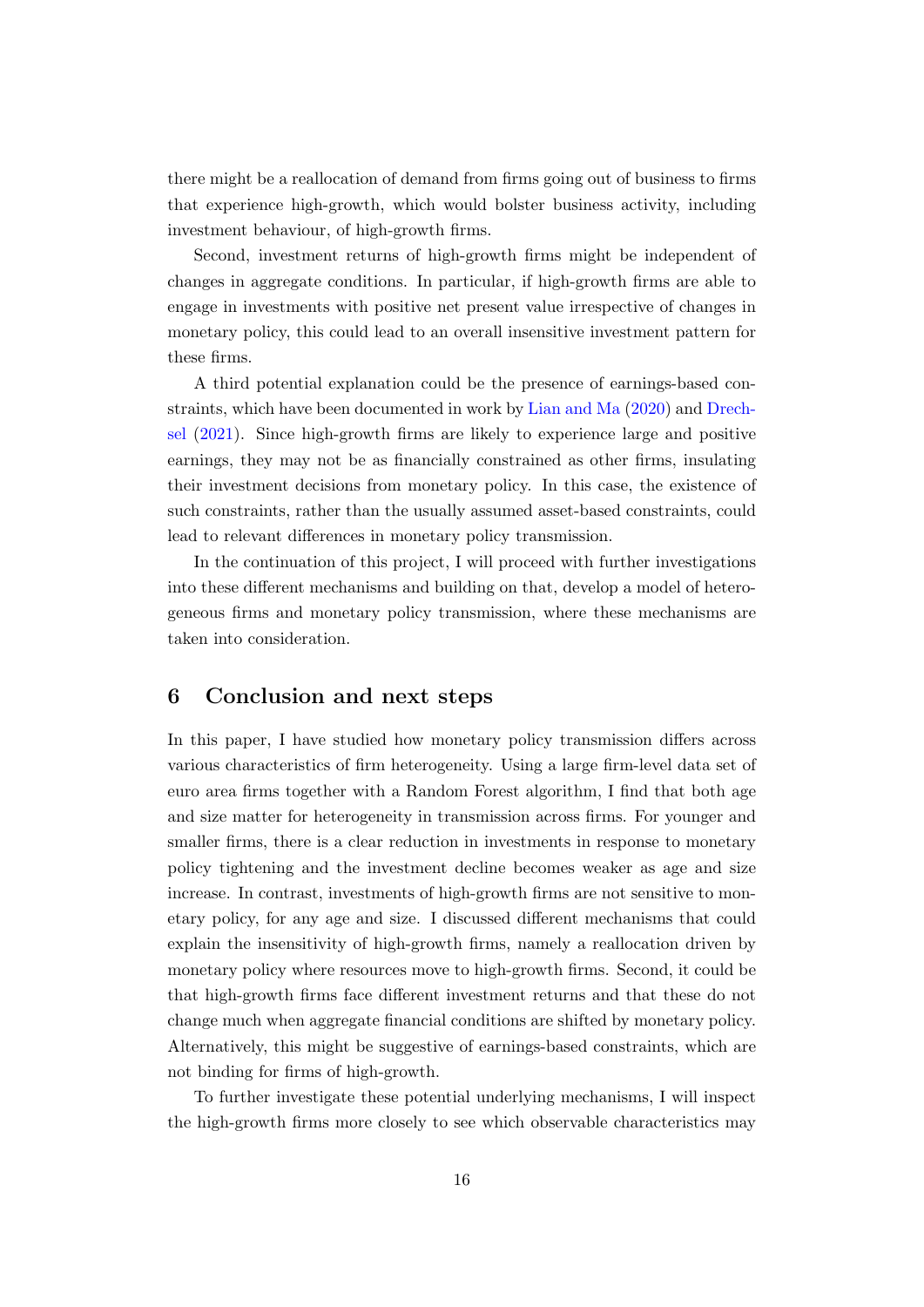there might be a reallocation of demand from firms going out of business to firms that experience high-growth, which would bolster business activity, including investment behaviour, of high-growth firms.

Second, investment returns of high-growth firms might be independent of changes in aggregate conditions. In particular, if high-growth firms are able to engage in investments with positive net present value irrespective of changes in monetary policy, this could lead to an overall insensitive investment pattern for these firms.

A third potential explanation could be the presence of earnings-based constraints, which have been documented in work by [Lian and Ma](#page-20-13) [\(2020\)](#page-20-13) and [Drech](#page-19-12)[sel](#page-19-12) [\(2021\)](#page-19-12). Since high-growth firms are likely to experience large and positive earnings, they may not be as financially constrained as other firms, insulating their investment decisions from monetary policy. In this case, the existence of such constraints, rather than the usually assumed asset-based constraints, could lead to relevant differences in monetary policy transmission.

In the continuation of this project, I will proceed with further investigations into these different mechanisms and building on that, develop a model of heterogeneous firms and monetary policy transmission, where these mechanisms are taken into consideration.

## <span id="page-16-0"></span>6 Conclusion and next steps

In this paper, I have studied how monetary policy transmission differs across various characteristics of firm heterogeneity. Using a large firm-level data set of euro area firms together with a Random Forest algorithm, I find that both age and size matter for heterogeneity in transmission across firms. For younger and smaller firms, there is a clear reduction in investments in response to monetary policy tightening and the investment decline becomes weaker as age and size increase. In contrast, investments of high-growth firms are not sensitive to monetary policy, for any age and size. I discussed different mechanisms that could explain the insensitivity of high-growth firms, namely a reallocation driven by monetary policy where resources move to high-growth firms. Second, it could be that high-growth firms face different investment returns and that these do not change much when aggregate financial conditions are shifted by monetary policy. Alternatively, this might be suggestive of earnings-based constraints, which are not binding for firms of high-growth.

To further investigate these potential underlying mechanisms, I will inspect the high-growth firms more closely to see which observable characteristics may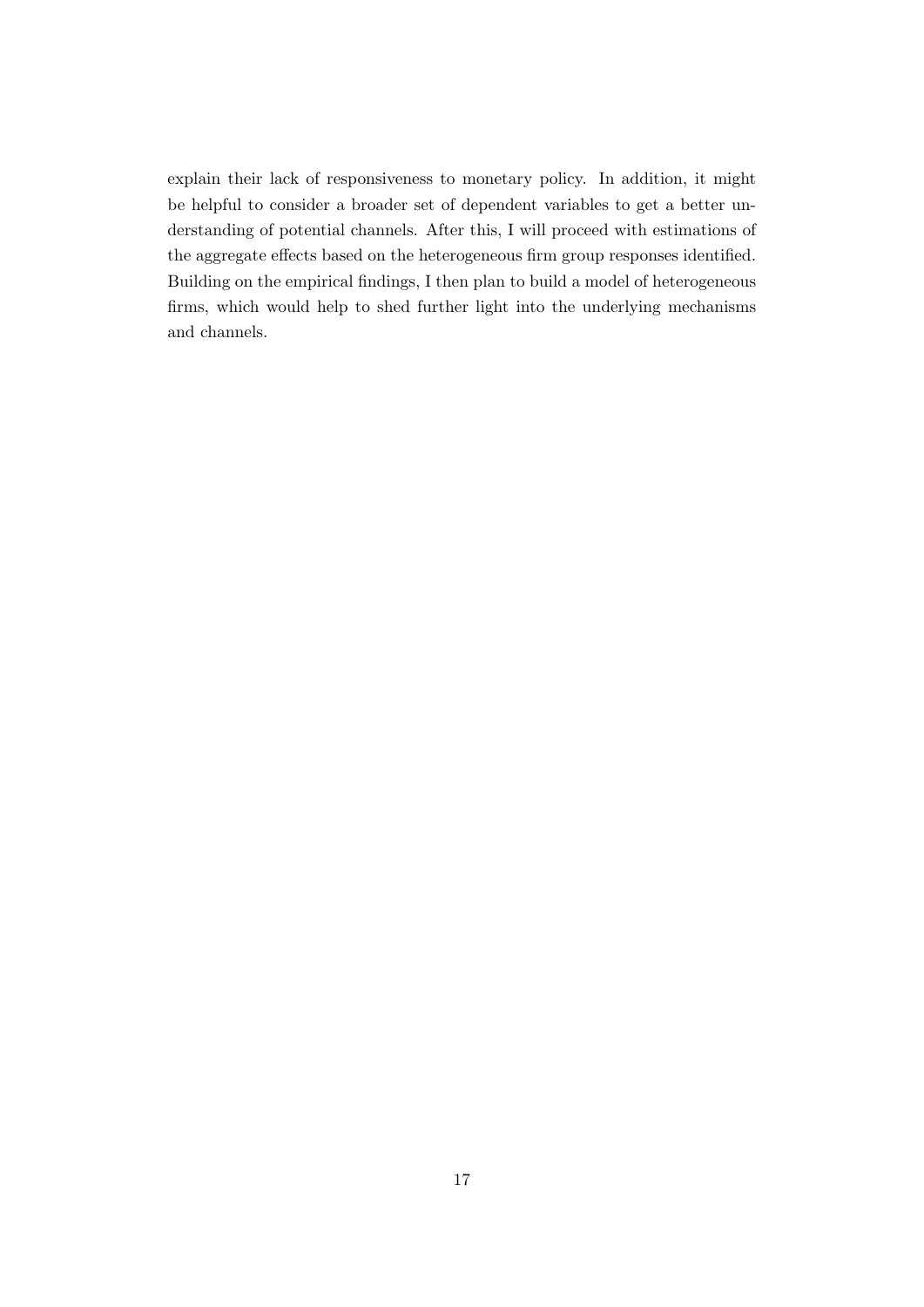explain their lack of responsiveness to monetary policy. In addition, it might be helpful to consider a broader set of dependent variables to get a better understanding of potential channels. After this, I will proceed with estimations of the aggregate effects based on the heterogeneous firm group responses identified. Building on the empirical findings, I then plan to build a model of heterogeneous firms, which would help to shed further light into the underlying mechanisms and channels.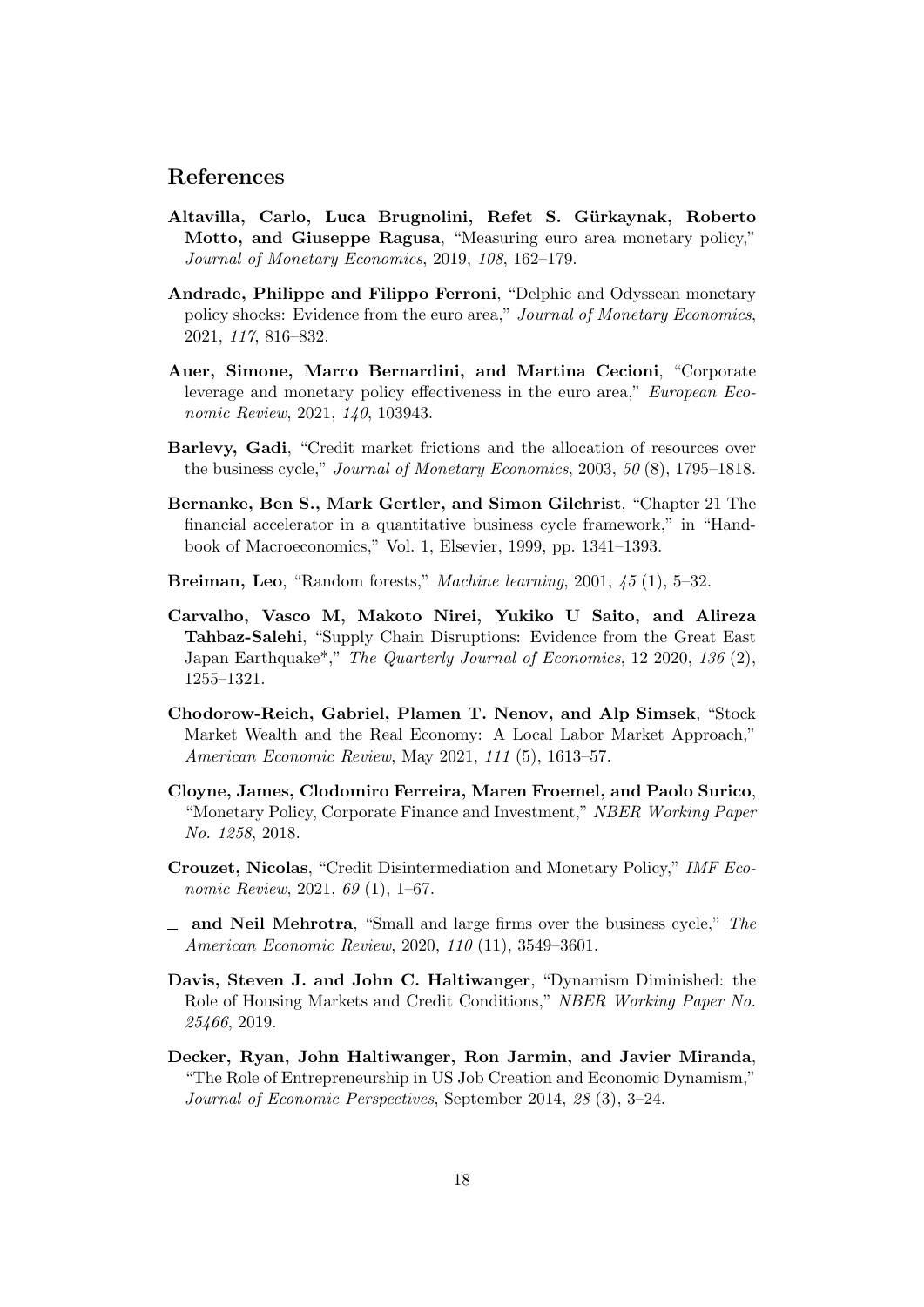## References

- <span id="page-18-9"></span>Altavilla, Carlo, Luca Brugnolini, Refet S. Gürkaynak, Roberto Motto, and Giuseppe Ragusa, "Measuring euro area monetary policy," Journal of Monetary Economics, 2019, 108, 162–179.
- <span id="page-18-10"></span>Andrade, Philippe and Filippo Ferroni, "Delphic and Odyssean monetary policy shocks: Evidence from the euro area," Journal of Monetary Economics, 2021, 117, 816–832.
- <span id="page-18-7"></span>Auer, Simone, Marco Bernardini, and Martina Cecioni, "Corporate leverage and monetary policy effectiveness in the euro area," European Economic Review, 2021, 140, 103943.
- <span id="page-18-8"></span>Barlevy, Gadi, "Credit market frictions and the allocation of resources over the business cycle," *Journal of Monetary Economics*,  $2003$ ,  $50(8)$ ,  $1795-1818$ .
- <span id="page-18-0"></span>Bernanke, Ben S., Mark Gertler, and Simon Gilchrist, "Chapter 21 The financial accelerator in a quantitative business cycle framework," in "Handbook of Macroeconomics," Vol. 1, Elsevier, 1999, pp. 1341–1393.
- <span id="page-18-3"></span>Breiman, Leo, "Random forests," Machine learning, 2001, 45 (1), 5-32.
- <span id="page-18-1"></span>Carvalho, Vasco M, Makoto Nirei, Yukiko U Saito, and Alireza Tahbaz-Salehi, "Supply Chain Disruptions: Evidence from the Great East Japan Earthquake<sup>\*</sup>," The Quarterly Journal of Economics, 12 2020, 136 (2), 1255–1321.
- <span id="page-18-2"></span>Chodorow-Reich, Gabriel, Plamen T. Nenov, and Alp Simsek, "Stock Market Wealth and the Real Economy: A Local Labor Market Approach," American Economic Review, May 2021, 111 (5), 1613–57.
- <span id="page-18-4"></span>Cloyne, James, Clodomiro Ferreira, Maren Froemel, and Paolo Surico, "Monetary Policy, Corporate Finance and Investment," NBER Working Paper No. 1258, 2018.
- <span id="page-18-6"></span>Crouzet, Nicolas, "Credit Disintermediation and Monetary Policy," IMF Economic Review, 2021, 69 (1), 1–67.
- <span id="page-18-5"></span>and Neil Mehrotra, "Small and large firms over the business cycle," The American Economic Review, 2020, 110 (11), 3549–3601.
- <span id="page-18-12"></span>Davis, Steven J. and John C. Haltiwanger, "Dynamism Diminished: the Role of Housing Markets and Credit Conditions," NBER Working Paper No. 25466, 2019.
- <span id="page-18-11"></span>Decker, Ryan, John Haltiwanger, Ron Jarmin, and Javier Miranda, "The Role of Entrepreneurship in US Job Creation and Economic Dynamism," Journal of Economic Perspectives, September 2014, 28 (3), 3–24.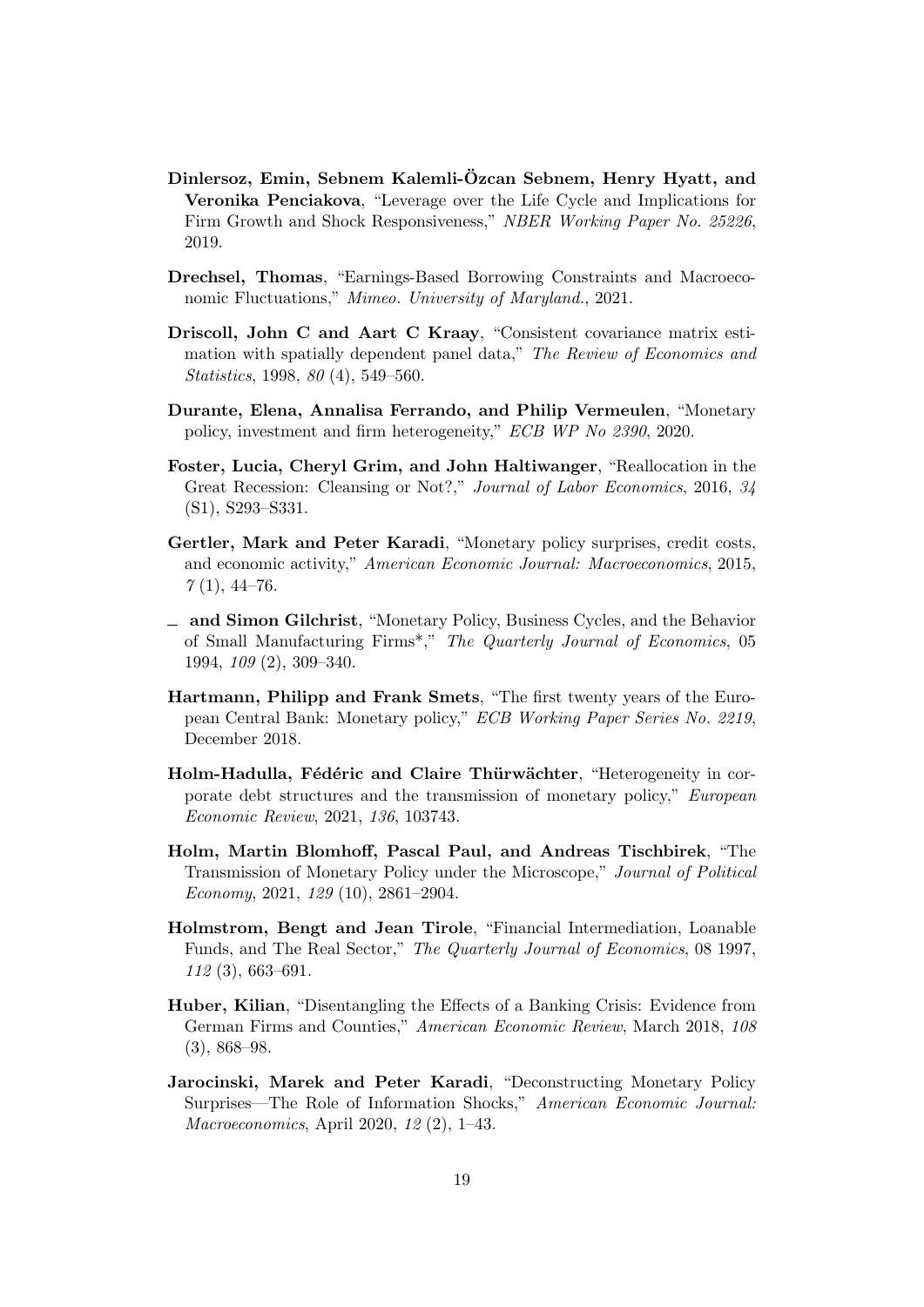- <span id="page-19-4"></span>Dinlersoz, Emin, Sebnem Kalemli-Ozcan Sebnem, Henry Hyatt, and ¨ Veronika Penciakova, "Leverage over the Life Cycle and Implications for Firm Growth and Shock Responsiveness," NBER Working Paper No. 25226, 2019.
- <span id="page-19-12"></span>Drechsel, Thomas, "Earnings-Based Borrowing Constraints and Macroeconomic Fluctuations," Mimeo. University of Maryland., 2021.
- <span id="page-19-8"></span>Driscoll, John C and Aart C Kraay, "Consistent covariance matrix estimation with spatially dependent panel data," The Review of Economics and Statistics, 1998, 80 (4), 549–560.
- <span id="page-19-1"></span>Durante, Elena, Annalisa Ferrando, and Philip Vermeulen, "Monetary policy, investment and firm heterogeneity," ECB WP No 2390, 2020.
- <span id="page-19-11"></span>Foster, Lucia, Cheryl Grim, and John Haltiwanger, "Reallocation in the Great Recession: Cleansing or Not?," Journal of Labor Economics, 2016, 34 (S1), S293–S331.
- <span id="page-19-5"></span>Gertler, Mark and Peter Karadi, "Monetary policy surprises, credit costs, and economic activity," American Economic Journal: Macroeconomics, 2015,  $7(1), 44-76.$
- <span id="page-19-9"></span>and Simon Gilchrist, "Monetary Policy, Business Cycles, and the Behavior of Small Manufacturing Firms\*," The Quarterly Journal of Economics, 05 1994, 109 (2), 309–340.
- <span id="page-19-10"></span>Hartmann, Philipp and Frank Smets, "The first twenty years of the European Central Bank: Monetary policy," ECB Working Paper Series No. 2219, December 2018.
- <span id="page-19-2"></span>Holm-Hadulla, Fédéric and Claire Thürwächter, "Heterogeneity in corporate debt structures and the transmission of monetary policy," European Economic Review, 2021, 136, 103743.
- <span id="page-19-7"></span>Holm, Martin Blomhoff, Pascal Paul, and Andreas Tischbirek, "The Transmission of Monetary Policy under the Microscope," Journal of Political Economy, 2021, 129 (10), 2861–2904.
- <span id="page-19-0"></span>Holmstrom, Bengt and Jean Tirole, "Financial Intermediation, Loanable Funds, and The Real Sector," The Quarterly Journal of Economics, 08 1997, 112 (3), 663–691.
- <span id="page-19-3"></span>Huber, Kilian, "Disentangling the Effects of a Banking Crisis: Evidence from German Firms and Counties," American Economic Review, March 2018, 108  $(3), 868 - 98.$
- <span id="page-19-6"></span>Jarocinski, Marek and Peter Karadi, "Deconstructing Monetary Policy Surprises—The Role of Information Shocks," American Economic Journal: Macroeconomics, April 2020, 12 (2), 1–43.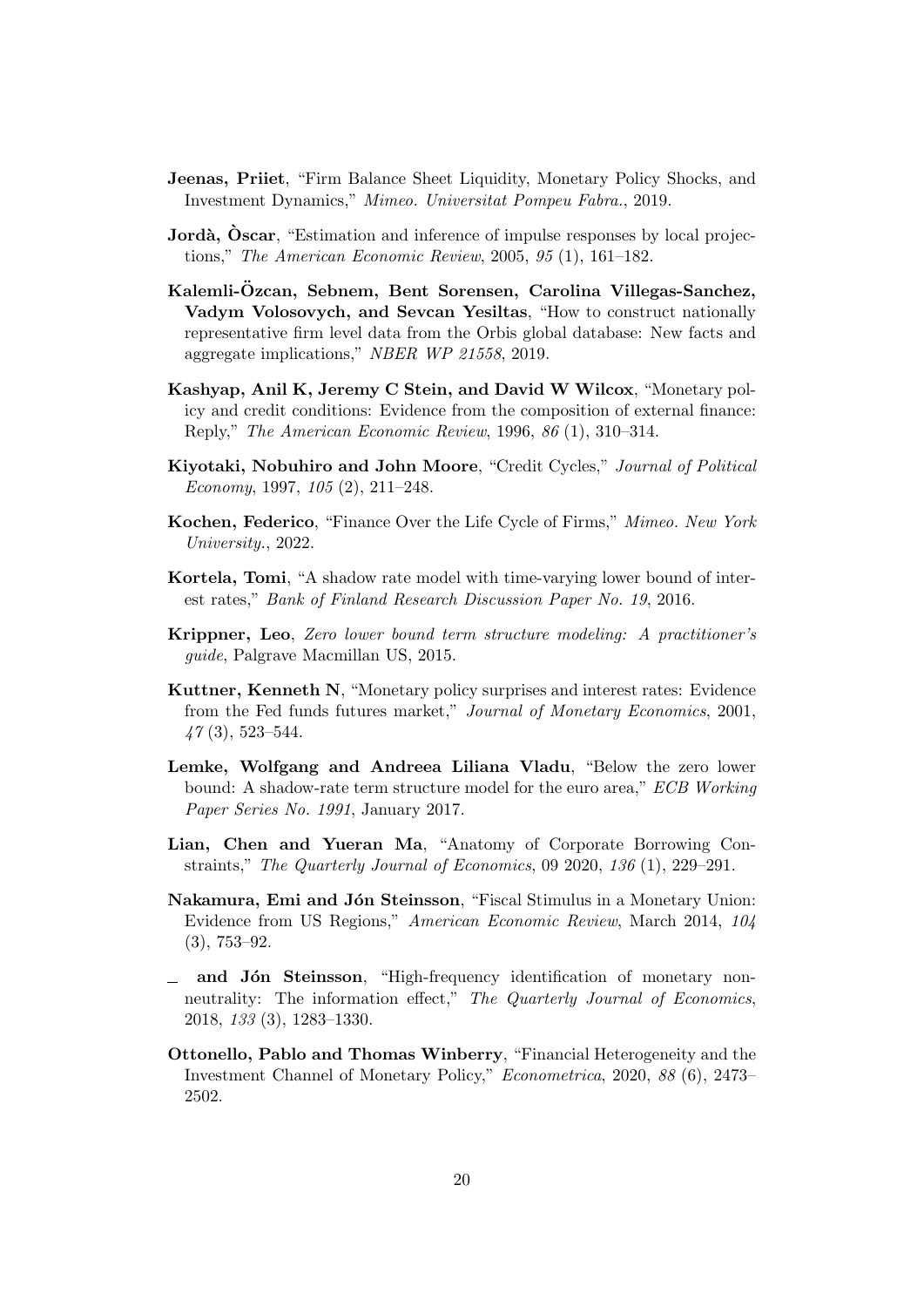- <span id="page-20-5"></span>Jeenas, Priiet, "Firm Balance Sheet Liquidity, Monetary Policy Shocks, and Investment Dynamics," Mimeo. Universitat Pompeu Fabra., 2019.
- <span id="page-20-2"></span>**Jordà, Oscar**, "Estimation and inference of impulse responses by local projections," The American Economic Review, 2005, 95 (1), 161–182.
- <span id="page-20-7"></span>Kalemli-Özcan, Sebnem, Bent Sorensen, Carolina Villegas-Sanchez, Vadym Volosovych, and Sevcan Yesiltas, "How to construct nationally representative firm level data from the Orbis global database: New facts and aggregate implications," NBER WP 21558, 2019.
- <span id="page-20-3"></span>Kashyap, Anil K, Jeremy C Stein, and David W Wilcox, "Monetary policy and credit conditions: Evidence from the composition of external finance: Reply," The American Economic Review, 1996, 86 (1), 310–314.
- <span id="page-20-0"></span>Kiyotaki, Nobuhiro and John Moore, "Credit Cycles," Journal of Political Economy, 1997, 105 (2), 211–248.
- <span id="page-20-6"></span>Kochen, Federico, "Finance Over the Life Cycle of Firms," Mimeo. New York University., 2022.
- <span id="page-20-11"></span>Kortela, Tomi, "A shadow rate model with time-varying lower bound of interest rates," Bank of Finland Research Discussion Paper No. 19, 2016.
- <span id="page-20-12"></span>Krippner, Leo, Zero lower bound term structure modeling: A practitioner's guide, Palgrave Macmillan US, 2015.
- <span id="page-20-8"></span>Kuttner, Kenneth N, "Monetary policy surprises and interest rates: Evidence from the Fed funds futures market," Journal of Monetary Economics, 2001,  $47(3), 523 - 544.$
- <span id="page-20-10"></span>Lemke, Wolfgang and Andreea Liliana Vladu, "Below the zero lower bound: A shadow-rate term structure model for the euro area," ECB Working Paper Series No. 1991, January 2017.
- <span id="page-20-13"></span>Lian, Chen and Yueran Ma, "Anatomy of Corporate Borrowing Constraints," The Quarterly Journal of Economics, 09 2020, 136 (1), 229–291.
- <span id="page-20-1"></span>Nakamura, Emi and Jón Steinsson, "Fiscal Stimulus in a Monetary Union: Evidence from US Regions," American Economic Review, March 2014, 104 (3), 753–92.
- <span id="page-20-9"></span> $\Box$  and Jón Steinsson, "High-frequency identification of monetary nonneutrality: The information effect," The Quarterly Journal of Economics, 2018, 133 (3), 1283–1330.
- <span id="page-20-4"></span>Ottonello, Pablo and Thomas Winberry, "Financial Heterogeneity and the Investment Channel of Monetary Policy," Econometrica, 2020, 88 (6), 2473– 2502.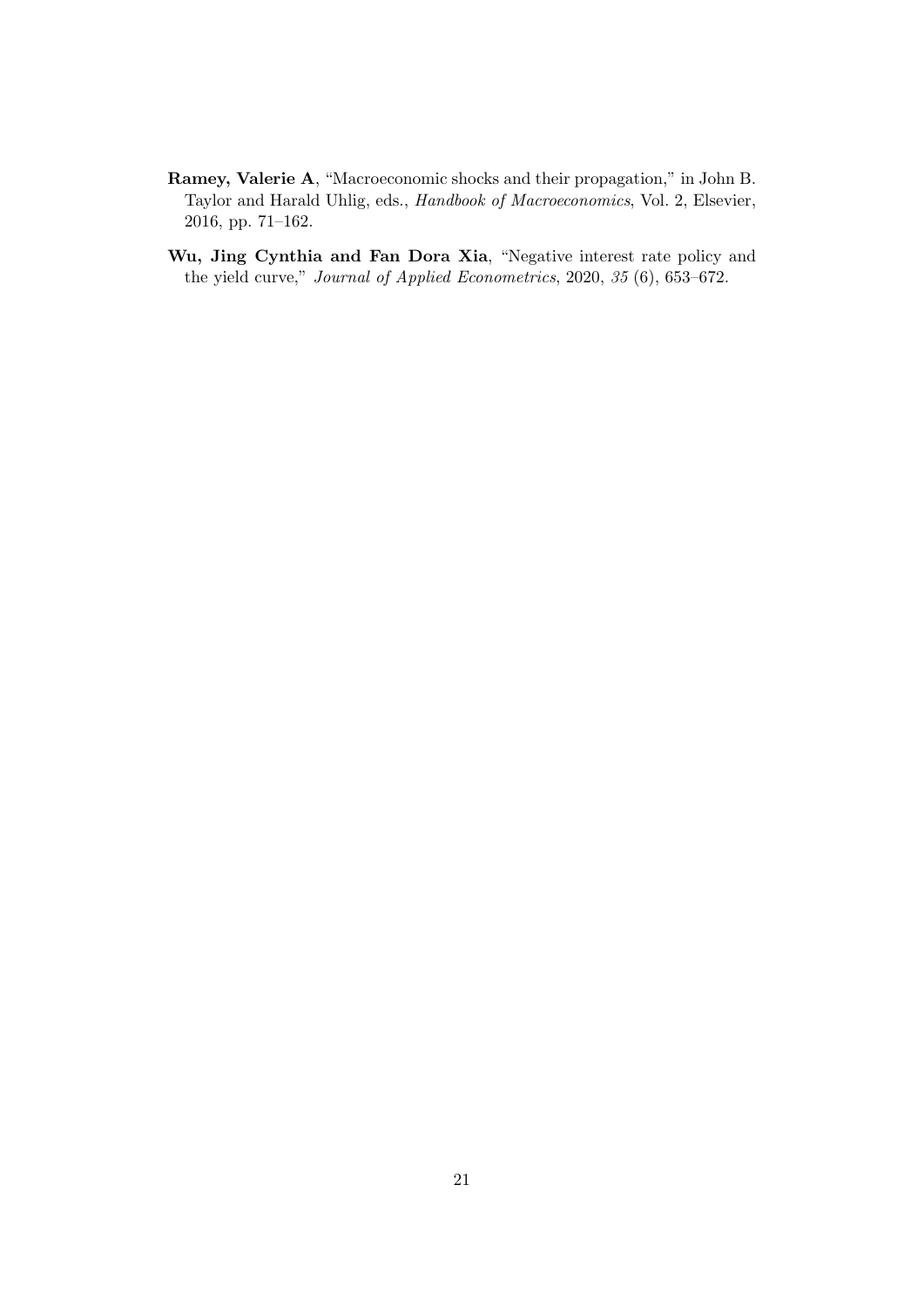- <span id="page-21-0"></span>Ramey, Valerie A, "Macroeconomic shocks and their propagation," in John B. Taylor and Harald Uhlig, eds., Handbook of Macroeconomics, Vol. 2, Elsevier, 2016, pp. 71–162.
- <span id="page-21-1"></span>Wu, Jing Cynthia and Fan Dora Xia, "Negative interest rate policy and the yield curve," Journal of Applied Econometrics, 2020, 35 (6), 653–672.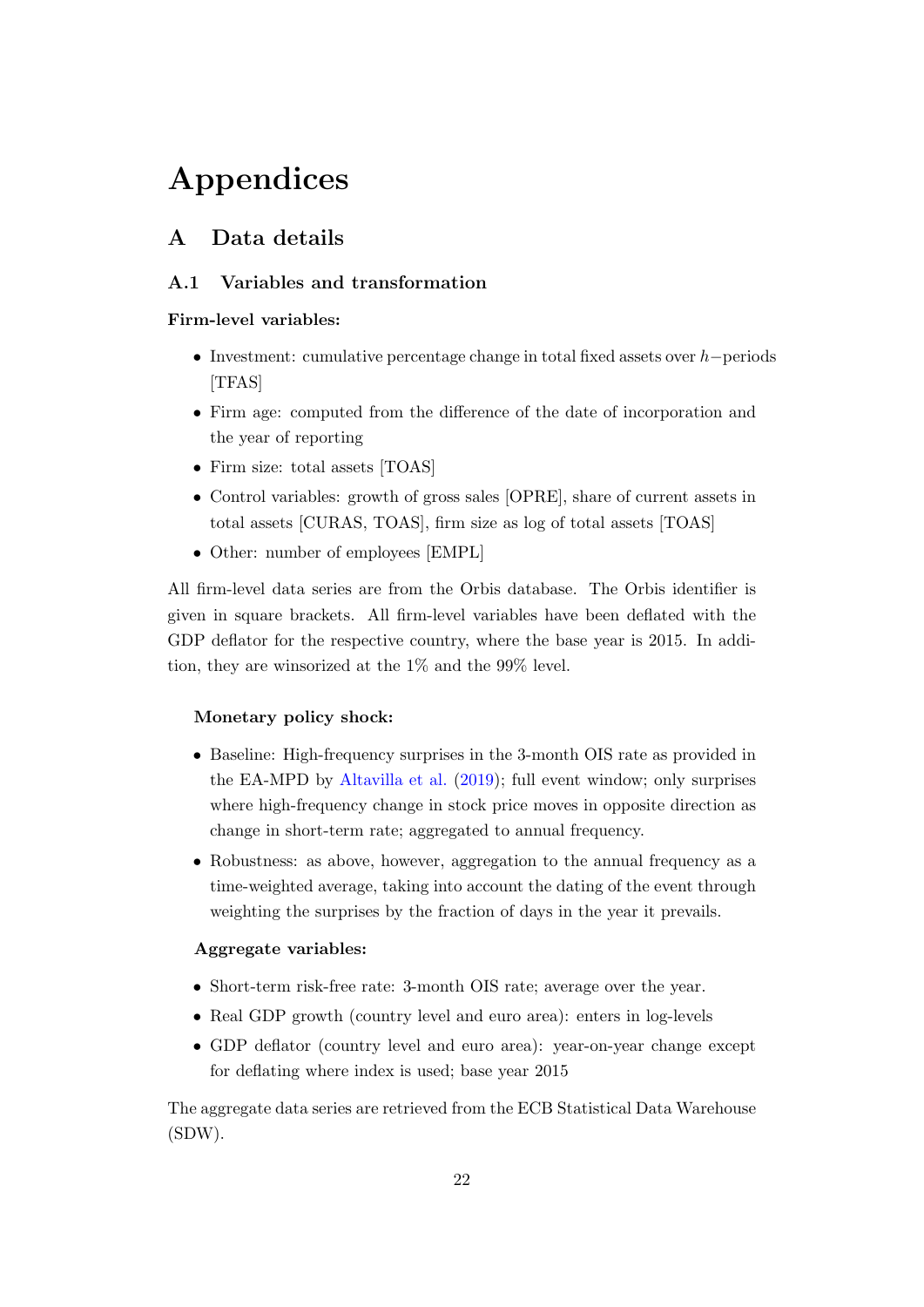# Appendices

## <span id="page-22-0"></span>A Data details

## A.1 Variables and transformation

## Firm-level variables:

- Investment: cumulative percentage change in total fixed assets over h−periods [TFAS]
- Firm age: computed from the difference of the date of incorporation and the year of reporting
- Firm size: total assets [TOAS]
- Control variables: growth of gross sales [OPRE], share of current assets in total assets [CURAS, TOAS], firm size as log of total assets [TOAS]
- Other: number of employees [EMPL]

All firm-level data series are from the Orbis database. The Orbis identifier is given in square brackets. All firm-level variables have been deflated with the GDP deflator for the respective country, where the base year is 2015. In addition, they are winsorized at the 1% and the 99% level.

#### Monetary policy shock:

- Baseline: High-frequency surprises in the 3-month OIS rate as provided in the EA-MPD by [Altavilla et al.](#page-18-9) [\(2019\)](#page-18-9); full event window; only surprises where high-frequency change in stock price moves in opposite direction as change in short-term rate; aggregated to annual frequency.
- Robustness: as above, however, aggregation to the annual frequency as a time-weighted average, taking into account the dating of the event through weighting the surprises by the fraction of days in the year it prevails.

#### Aggregate variables:

- Short-term risk-free rate: 3-month OIS rate; average over the year.
- Real GDP growth (country level and euro area): enters in log-levels
- GDP deflator (country level and euro area): year-on-year change except for deflating where index is used; base year 2015

The aggregate data series are retrieved from the ECB Statistical Data Warehouse (SDW).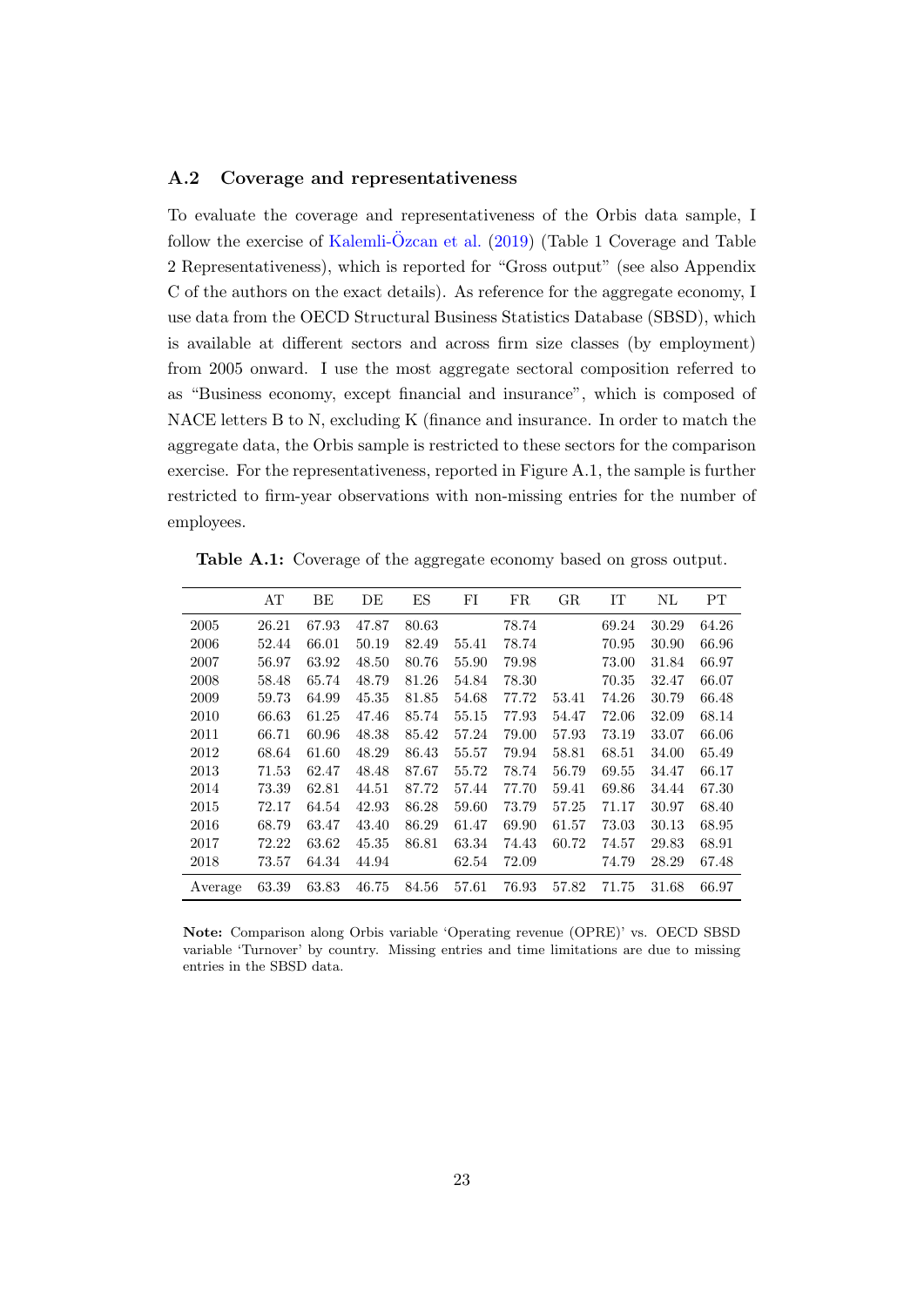### A.2 Coverage and representativeness

To evaluate the coverage and representativeness of the Orbis data sample, I follow the exercise of Kalemli- $\ddot{O}$ zcan et al.  $(2019)$  (Table 1 Coverage and Table 2 Representativeness), which is reported for "Gross output" (see also Appendix C of the authors on the exact details). As reference for the aggregate economy, I use data from the OECD Structural Business Statistics Database (SBSD), which is available at different sectors and across firm size classes (by employment) from 2005 onward. I use the most aggregate sectoral composition referred to as "Business economy, except financial and insurance", which is composed of NACE letters B to N, excluding K (finance and insurance. In order to match the aggregate data, the Orbis sample is restricted to these sectors for the comparison exercise. For the representativeness, reported in Figure A.1, the sample is further restricted to firm-year observations with non-missing entries for the number of employees.

Table A.1: Coverage of the aggregate economy based on gross output.

|         | AT    | ΒE    | DЕ    | ES    | FI    | FR    | $_{\rm GR}$ | IΤ    | ΝL    | PТ    |
|---------|-------|-------|-------|-------|-------|-------|-------------|-------|-------|-------|
| 2005    | 26.21 | 67.93 | 47.87 | 80.63 |       | 78.74 |             | 69.24 | 30.29 | 64.26 |
| 2006    | 52.44 | 66.01 | 50.19 | 82.49 | 55.41 | 78.74 |             | 70.95 | 30.90 | 66.96 |
| 2007    | 56.97 | 63.92 | 48.50 | 80.76 | 55.90 | 79.98 |             | 73.00 | 31.84 | 66.97 |
| 2008    | 58.48 | 65.74 | 48.79 | 81.26 | 54.84 | 78.30 |             | 70.35 | 32.47 | 66.07 |
| 2009    | 59.73 | 64.99 | 45.35 | 81.85 | 54.68 | 77.72 | 53.41       | 74.26 | 30.79 | 66.48 |
| 2010    | 66.63 | 61.25 | 47.46 | 85.74 | 55.15 | 77.93 | 54.47       | 72.06 | 32.09 | 68.14 |
| 2011    | 66.71 | 60.96 | 48.38 | 85.42 | 57.24 | 79.00 | 57.93       | 73.19 | 33.07 | 66.06 |
| 2012    | 68.64 | 61.60 | 48.29 | 86.43 | 55.57 | 79.94 | 58.81       | 68.51 | 34.00 | 65.49 |
| 2013    | 71.53 | 62.47 | 48.48 | 87.67 | 55.72 | 78.74 | 56.79       | 69.55 | 34.47 | 66.17 |
| 2014    | 73.39 | 62.81 | 44.51 | 87.72 | 57.44 | 77.70 | 59.41       | 69.86 | 34.44 | 67.30 |
| 2015    | 72.17 | 64.54 | 42.93 | 86.28 | 59.60 | 73.79 | 57.25       | 71.17 | 30.97 | 68.40 |
| 2016    | 68.79 | 63.47 | 43.40 | 86.29 | 61.47 | 69.90 | 61.57       | 73.03 | 30.13 | 68.95 |
| 2017    | 72.22 | 63.62 | 45.35 | 86.81 | 63.34 | 74.43 | 60.72       | 74.57 | 29.83 | 68.91 |
| 2018    | 73.57 | 64.34 | 44.94 |       | 62.54 | 72.09 |             | 74.79 | 28.29 | 67.48 |
| Average | 63.39 | 63.83 | 46.75 | 84.56 | 57.61 | 76.93 | 57.82       | 71.75 | 31.68 | 66.97 |

Note: Comparison along Orbis variable 'Operating revenue (OPRE)' vs. OECD SBSD variable 'Turnover' by country. Missing entries and time limitations are due to missing entries in the SBSD data.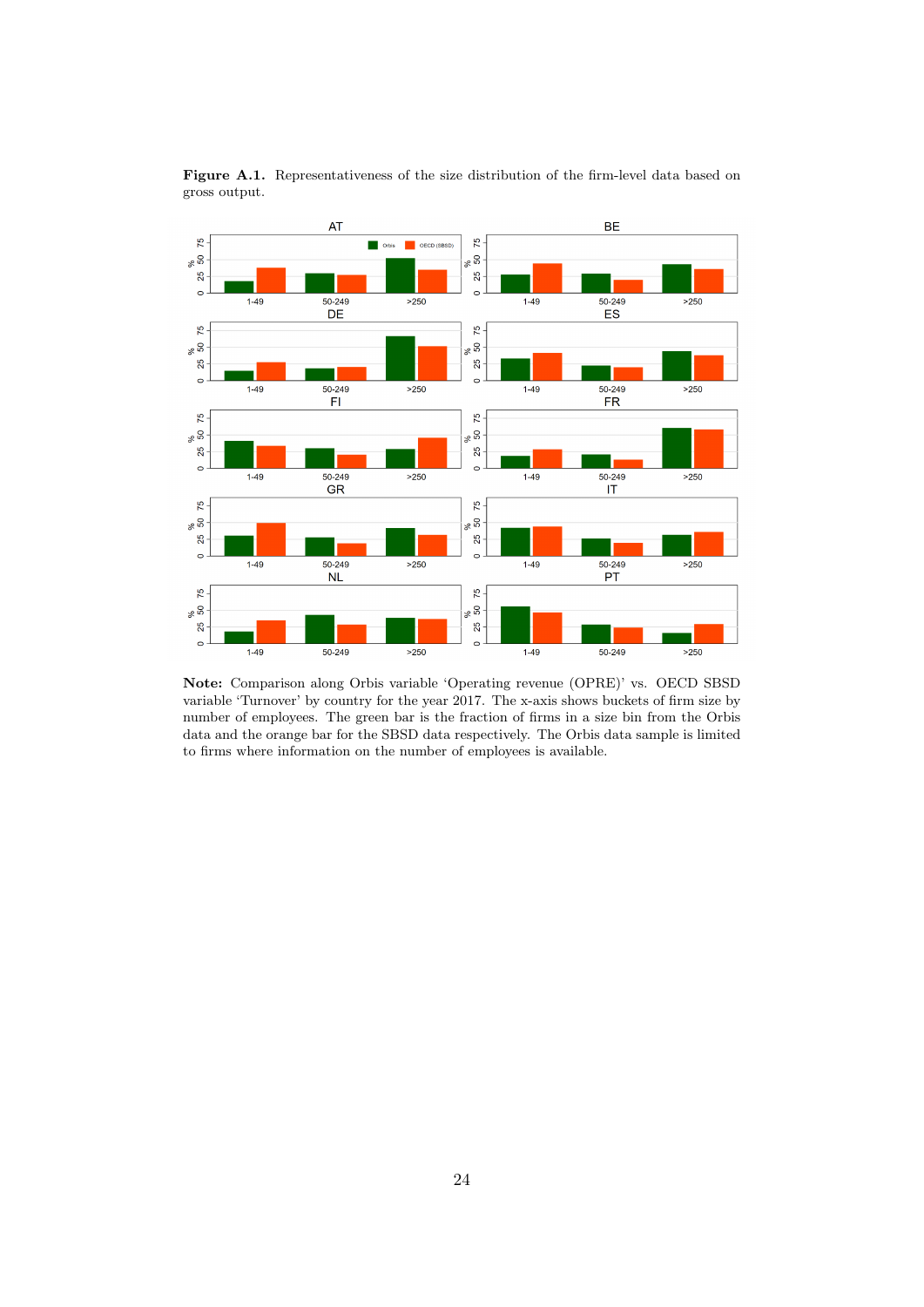

Figure A.1. Representativeness of the size distribution of the firm-level data based on gross output.

Note: Comparison along Orbis variable 'Operating revenue (OPRE)' vs. OECD SBSD variable 'Turnover' by country for the year 2017. The x-axis shows buckets of firm size by number of employees. The green bar is the fraction of firms in a size bin from the Orbis data and the orange bar for the SBSD data respectively. The Orbis data sample is limited to firms where information on the number of employees is available.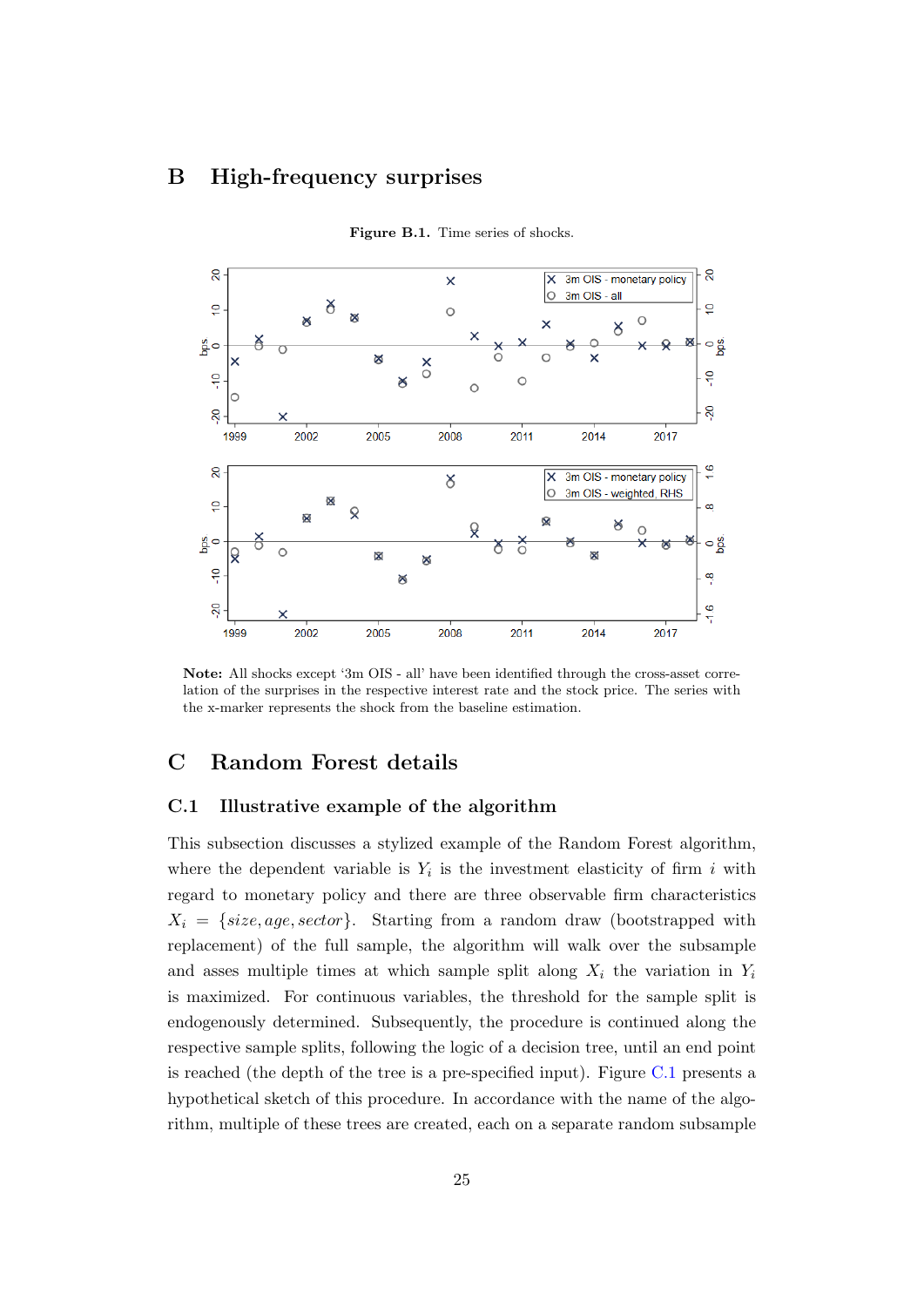## <span id="page-25-0"></span>B High-frequency surprises



Figure B.1. Time series of shocks.

Note: All shocks except '3m OIS - all' have been identified through the cross-asset correlation of the surprises in the respective interest rate and the stock price. The series with the x-marker represents the shock from the baseline estimation.

## <span id="page-25-1"></span>C Random Forest details

## C.1 Illustrative example of the algorithm

This subsection discusses a stylized example of the Random Forest algorithm, where the dependent variable is  $Y_i$  is the investment elasticity of firm i with regard to monetary policy and there are three observable firm characteristics  $X_i = \{size, age, sector\}$ . Starting from a random draw (bootstrapped with replacement) of the full sample, the algorithm will walk over the subsample and asses multiple times at which sample split along  $X_i$  the variation in  $Y_i$ is maximized. For continuous variables, the threshold for the sample split is endogenously determined. Subsequently, the procedure is continued along the respective sample splits, following the logic of a decision tree, until an end point is reached (the depth of the tree is a pre-specified input). Figure [C.1](#page-26-0) presents a hypothetical sketch of this procedure. In accordance with the name of the algorithm, multiple of these trees are created, each on a separate random subsample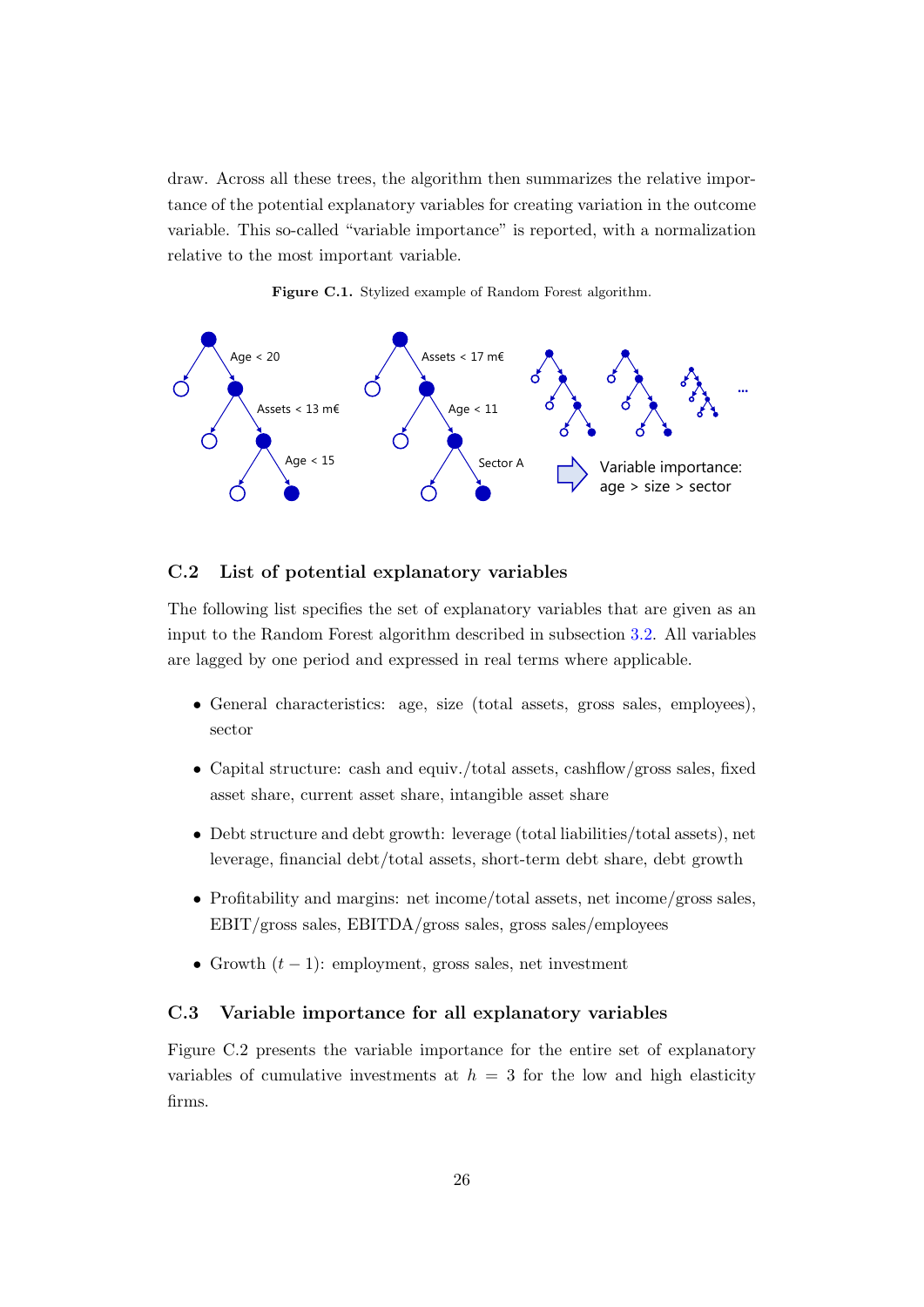draw. Across all these trees, the algorithm then summarizes the relative importance of the potential explanatory variables for creating variation in the outcome variable. This so-called "variable importance" is reported, with a normalization relative to the most important variable.



<span id="page-26-0"></span>

## C.2 List of potential explanatory variables

The following list specifies the set of explanatory variables that are given as an input to the Random Forest algorithm described in subsection [3.2.](#page-7-0) All variables are lagged by one period and expressed in real terms where applicable.

- General characteristics: age, size (total assets, gross sales, employees), sector
- Capital structure: cash and equiv./total assets, cashflow/gross sales, fixed asset share, current asset share, intangible asset share
- Debt structure and debt growth: leverage (total liabilities/total assets), net leverage, financial debt/total assets, short-term debt share, debt growth
- Profitability and margins: net income/total assets, net income/gross sales, EBIT/gross sales, EBITDA/gross sales, gross sales/employees
- Growth  $(t-1)$ : employment, gross sales, net investment

## C.3 Variable importance for all explanatory variables

Figure C.2 presents the variable importance for the entire set of explanatory variables of cumulative investments at  $h = 3$  for the low and high elasticity firms.